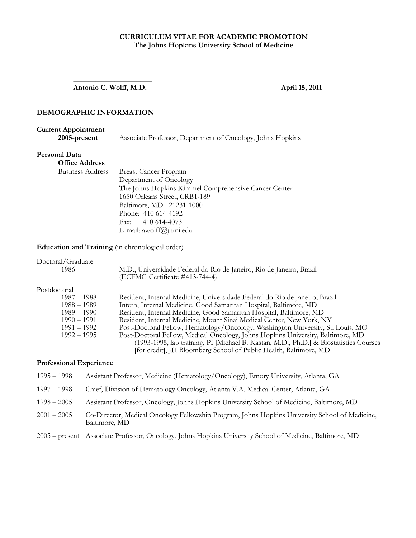## **CURRICULUM VITAE FOR ACADEMIC PROMOTION The Johns Hopkins University School of Medicine**

 **Antonio C. Wolff, M.D. April 15, 2011** 

## **DEMOGRAPHIC INFORMATION**

 $\frac{1}{2}$  ,  $\frac{1}{2}$  ,  $\frac{1}{2}$  ,  $\frac{1}{2}$  ,  $\frac{1}{2}$  ,  $\frac{1}{2}$  ,  $\frac{1}{2}$  ,  $\frac{1}{2}$  ,  $\frac{1}{2}$  ,  $\frac{1}{2}$  ,  $\frac{1}{2}$  ,  $\frac{1}{2}$  ,  $\frac{1}{2}$  ,  $\frac{1}{2}$  ,  $\frac{1}{2}$  ,  $\frac{1}{2}$  ,  $\frac{1}{2}$  ,  $\frac{1}{2}$  ,  $\frac{1$ 

## **Current Appointment**

 **2005-present** Associate Professor, Department of Oncology, Johns Hopkins

#### **Personal Data**

| <b>Office Address</b>   |                                                      |
|-------------------------|------------------------------------------------------|
| <b>Business Address</b> | <b>Breast Cancer Program</b>                         |
|                         | Department of Oncology                               |
|                         | The Johns Hopkins Kimmel Comprehensive Cancer Center |
|                         | 1650 Orleans Street, CRB1-189                        |
|                         | Baltimore, MD 21231-1000                             |
|                         | Phone: 410 614-4192                                  |
|                         | Fax: $410\,614-4073$                                 |
|                         | E-mail: awolff@jhmi.edu                              |
|                         |                                                      |

**Education and Training** (in chronological order)

| Doctoral/Graduate |                                                                                                        |
|-------------------|--------------------------------------------------------------------------------------------------------|
| 1986              | M.D., Universidade Federal do Rio de Janeiro, Rio de Janeiro, Brazil<br>(ECFMG Certificate #413-744-4) |
| Postdoctoral      |                                                                                                        |
| 1987 – 1988       | Resident, Internal Medicine, Universidade Federal do Rio de Janeiro, Brazil                            |
| $1988 - 1989$     | Intern, Internal Medicine, Good Samaritan Hospital, Baltimore, MD                                      |
| $1989 - 1990$     | Resident, Internal Medicine, Good Samaritan Hospital, Baltimore, MD                                    |
| $1990 - 1991$     | Resident, Internal Medicine, Mount Sinai Medical Center, New York, NY                                  |
| $1991 - 1992$     | Post-Doctoral Fellow, Hematology/Oncology, Washington University, St. Louis, MO                        |
| $1992 - 1995$     | Post-Doctoral Fellow, Medical Oncology, Johns Hopkins University, Baltimore, MD                        |
|                   | (1993-1995, lab training, PI [Michael B. Kastan, M.D., Ph.D.] & Biostatistics Courses                  |
|                   | [for credit], JH Bloomberg School of Public Health, Baltimore, MD                                      |

#### **Professional Experience**

1995 – 1998 Assistant Professor, Medicine (Hematology/Oncology), Emory University, Atlanta, GA 1997 – 1998 Chief, Division of Hematology Oncology, Atlanta V.A. Medical Center, Atlanta, GA 1998 – 2005 Assistant Professor, Oncology, Johns Hopkins University School of Medicine, Baltimore, MD 2001 – 2005 Co-Director, Medical Oncology Fellowship Program, Johns Hopkins University School of Medicine, Baltimore, MD 2005 – present Associate Professor, Oncology, Johns Hopkins University School of Medicine, Baltimore, MD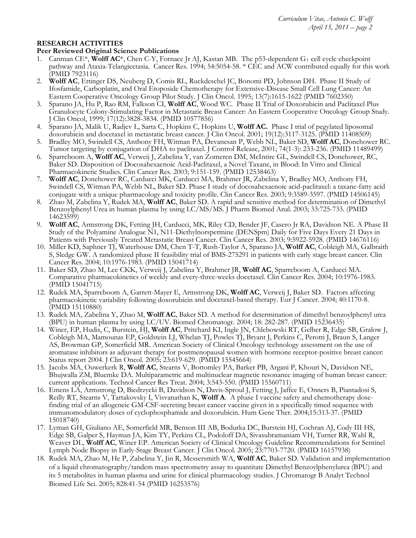#### **RESEARCH ACTIVITIES**

#### **Peer Reviewed Original Science Publications**

- 1. Canman CE<sup>\*</sup>, **Wolff AC**<sup>\*</sup>, Chen C-Y, Fornace Jr AJ, Kastan MB. The p53-dependent  $G_1$  cell cycle checkpoint pathway and Ataxia-Telangiectasia. Cancer Res. 1994; 54:5054-58. \* CEC and ACW contributed equally for this work (PMID 7923116)
- 2. **Wolff AC**, Ettinger DS, Neuberg D, Comis RL, Ruckdeschel JC, Bonomi PD, Johnson DH. Phase II Study of Ifosfamide, Carboplatin, and Oral Etoposide Chemotherapy for Extensive-Disease Small Cell Lung Cancer: An Eastern Cooperative Oncology Group Pilot Study. J Clin Oncol. 1995; 13(7):1615-1622 (PMID 7602350)
- 3. Sparano JA, Hu P, Rao RM, Falkson CI, **Wolff AC**, Wood WC. Phase II Trial of Doxorubicin and Paclitaxel Plus Granulocyte Colony-Stimulating Factor in Metastatic Breast Cancer: An Eastern Cooperative Oncology Group Study. J Clin Oncol, 1999; 17(12):3828-3834. (PMID 10577856)
- 4. Sparano JA, Malik U, Radjev L, Sarta C, Hopkins C, Hopkins U, **Wolff AC.** Phase I trial of pegylated liposomal doxorubicin and docetaxel in metastatic breast cancer. J Clin Oncol. 2001; 19(12):3117-3125. (PMID 11408509)
- 5. Bradley MO, Swindell CS, Anthony FH, Witman PA, Devanesan P, Webb NL, Baker SD, **Wolff AC**, Donehower RC. Tumor targeting by conjugation of DHA to paclitaxel. J Control Release, 2001; 74(1-3): 233-236. (PMID 11489499)
- 6. Sparreboom A, **Wolff AC**, Verweij J, Zabelina Y, van Zomeren DM, McIntire GL, Swindell CS, Donehower, RC, Baker SD. Disposition of Docosahexaenoic Acid-Paclitaxel, a Novel Taxane, in Blood: In Vitro and Clinical Pharmacokinetic Studies. Clin Cancer Res. 2003; 9:151-159. (PMID 12538463)
- 7. **Wolff AC**, Donehower RC, Carducci MK, Carducci MA, Brahmer JR, Zabelina Y, Bradley MO, Anthony FH, Swindell CS, Witman PA, Webb NL, Baker SD. Phase I study of docosahexaenoic acid-paclitaxel: a taxane-fatty acid conjugate with a unique pharmacology and toxicity profile. Clin Cancer Res. 2003; 9:3589-3597. (PMID 14506145)
- 8. Zhao M, Zabelina Y, Rudek MA, **Wolff AC**, Baker SD. A rapid and sensitive method for determination of Dimethyl Benzoylphenyl Urea in human plasma by using LC/MS/MS. J Pharm Biomed Anal. 2003; 33:725-733. (PMID 14623599)
- 9. **Wolff AC**, Armstrong DK, Fetting JH, Carducci, MK, Riley CD, Bender JF, Casero Jr RA, Davidson NE. A Phase II Study of the Polyamine Analogue N1, N11-Diethylnorspermine (DENSpm) Daily for Five Days Every 21 Days in Patients with Previously Treated Metastatic Breast Cancer. Clin Cancer Res. 2003; 9:5922-5928. (PMID 14676116)
- 10. Miller KD, Saphner TJ, Waterhouse DM, Chen T-T, Rush-Taylor A, Sparano JA, **Wolff AC**, Cobleigh MA, Galbraith S, Sledge GW. A randomized phase II feasibility trial of BMS-275291 in patients with early stage breast cancer. Clin Cancer Res. 2004; 10:1976-1983. (PMID 15041714)
- 11. Baker SD, Zhao M, Lee CKK, Verweij J, Zabelina Y, Brahmer JR, **Wolff AC**, Sparreboom A, Carducci MA. Comparative pharmacokinetics of weekly and every-three-weeks docetaxel. Clin Cancer Res. 2004; 10:1976-1983. (PMID 15041715)
- 12. Rudek MA, Sparreboom A, Garrett-Mayer E, Armstrong DK, **Wolff AC**, Verweij J, Baker SD. Factors affecting pharmacokinetic variability following doxorubicin and docetaxel-based therapy. Eur J Cancer. 2004; 40:1170-8. (PMID 15110880)
- 13. Rudek MA, Zabelina Y, Zhao M, **Wolff AC**, Baker SD. A method for determination of dimethyl benzoylphenyl urea (BPU) in human plasma by using LC/UV. Biomed Chromatogr. 2004; 18: 282-287. (PMID 15236435)
- 14. Winer, EP, Hudis, C, Burstein, HJ, **Wolff AC**, Pritchard KI, Ingle JN, Chlebowski RT, Gelber R, Edge SB, Gralow J, Cobleigh MA, Mamounas EP, Goldstein LJ, Whelan TJ, Powles TJ, Bryant J, Perkins C, Perotti J, Braun S, Langer AS, Browman GP, Somerfield MR. American Society of Clinical Oncology technology assessment on the use of aromatase inhibitors as adjuvant therapy for postmenopausal women with hormone receptor-positive breast cancer: Status report 2004. J Clin Oncol. 2005; 23:619-629. (PMID 15545664)
- 15. Jacobs MA, Ouwerkerk R, **Wolff AC**, Stearns V, Bottomley PA, Barker PB, Argani P, Khouri N, Davidson NE, Bhujwalla ZM, Bluemke DA. Multiparametric and multinuclear magnetic resonance imaging of human breast cancer: current applications. Technol Cancer Res Treat. 2004; 3:543-550. (PMID 15560711)
- 16. Emens LA, Armstrong D, Biedrzycki B, Davidson N, Davis-Sproul J, Fetting J, Jaffee E, Onners B, Piantadosi S, Reilly RT, Stearns V, Tartakovsky I, Visvanathan K, **Wolff A**. A phase I vaccine safety and chemotherapy dosefinding trial of an allogeneic GM-CSF-secreting breast cancer vaccine given in a specifically timed sequence with immunomodulatory doses of cyclophosphamide and doxorubicin. Hum Gene Ther. 2004;15:313-37. (PMID 15018740)
- 17. Lyman GH, Giuliano AE, Somerfield MR, Benson III AB, Bodurka DC, Burstein HJ, Cochran AJ, Cody III HS, Edge SB, Galper S, Hayman JA, Kim TY, Perkins CL, Podoloff DA, Sivasubramaniam VH, Turner RR, Wahl R, Weaver DL, **Wolff AC**, Winer EP. American Society of Clinical Oncology Guideline Recommendations for Sentinel Lymph Node Biopsy in Early-Stage Breast Cancer. J Clin Oncol. 2005; 23:7703-7720. (PMID 16157938)
- 18. Rudek MA, Zhao M, He P, Zabelina Y, Jin R, Messersmith WA, **Wolff AC**, Baker SD. Validation and implementation of a liquid chromatography/tandem mass spectrometry assay to quantitate Dimethyl Benzoylphenylurea (BPU) and its 5 metabolites in human plasma and urine for clinical pharmacology studies. J Chromatogr B Analyt Technol Biomed Life Sci. 2005; 828:41-54 (PMID 16253576)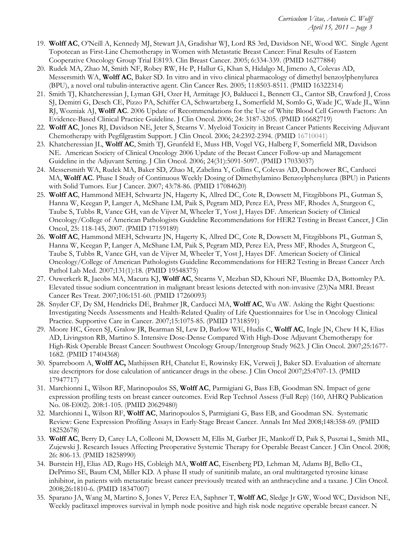- 19. **Wolff AC**, O'Neill A, Kennedy MJ, Stewart JA, Gradishar WJ, Lord RS 3rd, Davidson NE, Wood WC. Single Agent Topotecan as First-Line Chemotherapy in Women with Metastatic Breast Cancer: Final Results of Eastern Cooperative Oncology Group Trial E8193. Clin Breast Cancer. 2005; 6:334-339. (PMID 16277884)
- 20. Rudek MA, Zhao M, Smith NF, Robey RW, He P, Hallur G, Khan S, Hidalgo M, Jimeno A, Colevas AD, Messersmith WA, **Wolff AC**, Baker SD. In vitro and in vivo clinical pharmacology of dimethyl benzoylphenylurea (BPU), a novel oral tubulin-interactive agent. Clin Cancer Res. 2005; 11:8503-8511. (PMID 16322314)
- 21. Smith TJ, Khatcheressian J, Lyman GH, Ozer H, Armitage JO, Balducci L, Bennett CL, Cantor SB, Crawford J, Cross SJ, Demitri G, Desch CE, Pizzo PA, Schiffer CA, Schwartzberg L, Somerfield M, Somlo G, Wade JC, Wade JL, Winn RJ, Wozniak AJ, **Wolff AC**. 2006 Update of Recommendations for the Use of White Blood Cell Growth Factors: An Evidence-Based Clinical Practice Guideline. J Clin Oncol. 2006; 24: 3187-3205. (PMID 16682719)
- 22. **Wolff AC**, Jones RJ, Davidson NE, Jeter S, Stearns V. Myeloid Toxicity in Breast Cancer Patients Receiving Adjuvant Chemotherapy with Pegfilgrastim Support. J Clin Oncol. 2006; 24:2392-2394. (PMID 16710041)
- 23. Khatcheressian JL, **Wolff AC**, Smith TJ, Grunfeld E, Muss HB, Vogel VG, Halberg F, Somerfield MR, Davidson NE. American Society of Clinical Oncology 2006 Update of the Breast Cancer Follow-up and Management Guideline in the Adjuvant Setting. J Clin Oncol. 2006; 24(31):5091-5097. (PMID 17033037)
- 24. Messersmith WA, Rudek MA, Baker SD, Zhao M, Zabelina Y, Collins C, Colevas AD, Donehower RC, Carducci MA, **Wolff AC**. Phase I Study of Continuous Weekly Dosing of Dimethylamino Benzoylphenylurea (BPU) in Patients with Solid Tumors*.* Eur J Cancer. 2007; 43:78-86. (PMID 17084620)
- 25. **Wolff AC**, Hammond MEH, Schwartz JN, Hagerty K, Allred DC, Cote R, Dowsett M, Fitzgibbons PL, Gutman S, Hanna W, Keegan P, Langer A, McShane LM, Paik S, Pegram MD, Perez EA, Press MF, Rhodes A, Sturgeon C, Taube S, Tubbs R, Vance GH, van de Vijver M, Wheeler T, Yost J, Hayes DF. American Society of Clinical Oncology/College of American Pathologists Guideline Recommendations for HER2 Testing in Breast Cancer, J Clin Oncol, 25: 118-145, 2007. (PMID 17159189)
- 26. **Wolff AC**, Hammond MEH, Schwartz JN, Hagerty K, Allred DC, Cote R, Dowsett M, Fitzgibbons PL, Gutman S, Hanna W, Keegan P, Langer A, McShane LM, Paik S, Pegram MD, Perez EA, Press MF, Rhodes A, Sturgeon C, Taube S, Tubbs R, Vance GH, van de Vijver M, Wheeler T, Yost J, Hayes DF. American Society of Clinical Oncology/College of American Pathologists Guideline Recommendations for HER2 Testing in Breast Cancer Arch Pathol Lab Med. 2007;131(1):18. (PMID 19548375)
- 27. Ouwerkerk R, Jacobs MA, Macura KJ, **Wolff AC**, Stearns V, Mezban SD, Khouri NF, Bluemke DA, Bottomley PA. Elevated tissue sodium concentration in malignant breast lesions detected with non-invasive (23)Na MRI. Breast Cancer Res Treat. 2007;106:151-60. (PMID 17260093)
- 28. Snyder CF, Dy SM, Hendricks DE, Brahmer JR, Carducci MA, **Wolff AC**, Wu AW. Asking the Right Questions: Investigating Needs Assessments and Health-Related Quality of Life Questionnaires for Use in Oncology Clinical Practice. Supportive Care in Cancer. 2007;15:1075-85. (PMID 17318591)
- 29. Moore HC, Green SJ, Gralow JR, Bearman SI, Lew D, Barlow WE, Hudis C, **Wolff AC**, Ingle JN, Chew H K, Elias AD, Livingston RB, Martino S. Intensive Dose-Dense Compared With High-Dose Adjuvant Chemotherapy for High-Risk Operable Breast Cancer: Southwest Oncology Group/Intergroup Study 9623. J Clin Oncol. 2007;25:1677- 1682. (PMID 17404368)
- 30. Sparreboom A, **Wolff AC,** Mathijssen RH, Chatelut E, Rowinsky EK, Verweij J, Baker SD. Evaluation of alternate size descriptors for dose calculation of anticancer drugs in the obese. J Clin Oncol 2007;25:4707-13. (PMID 17947717)
- 31. Marchionni L, Wilson RF, Marinopoulos SS, **Wolff AC**, Parmigiani G, Bass EB, Goodman SN. Impact of gene expression profiling tests on breast cancer outcomes. Evid Rep Technol Assess (Full Rep) (160, AHRQ Publication No. 08-E002). 208:1-105. (PMID 20629480)
- 32. Marchionni L, Wilson RF, **Wolff AC**, Marinopoulos S, Parmigiani G, Bass EB, and Goodman SN. Systematic Review: Gene Expression Profiling Assays in Early-Stage Breast Cancer. Annals Int Med 2008;148:358-69. (PMID 18252678)
- 33. **Wolff AC**, Berry D, Carey LA, Colleoni M, Dowsett M, Ellis M, Garber JE, Mankoff D, Paik S, Pusztai L, Smith ML, Zujewski J. Research Issues Affecting Preoperative Systemic Therapy for Operable Breast Cancer. J Clin Oncol. 2008; 26: 806-13. (PMID 18258990)
- 34. Burstein HJ, Elias AD, Rugo HS, Cobleigh MA, **Wolff AC**, Eisenberg PD, Lehman M, Adams BJ, Bello CL, DePrimo SE, Baum CM, Miller KD. A phase II study of sunitinib malate, an oral multitargeted tyrosine kinase inhibitor, in patients with metastatic breast cancer previously treated with an anthracycline and a taxane. J Clin Oncol. 2008;26:1810-6. (PMID 18347007)
- 35. Sparano JA, Wang M, Martino S, Jones V, Perez EA, Saphner T, **Wolff AC**, Sledge Jr GW, Wood WC, Davidson NE, Weekly paclitaxel improves survival in lymph node positive and high risk node negative operable breast cancer. N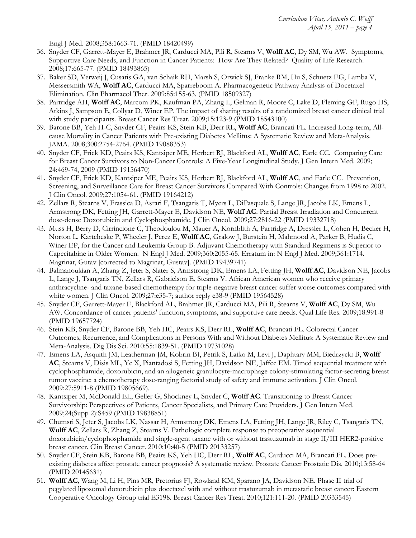Engl J Med. 2008;358:1663-71. (PMID 18420499)

- 36. Snyder CF, Garrett-Mayer E, Brahmer JR, Carducci MA, Pili R, Stearns V, **Wolff AC**, Dy SM, Wu AW. Symptoms, Supportive Care Needs, and Function in Cancer Patients: How Are They Related? Quality of Life Research. 2008;17:665-77. (PMID 18493865)
- 37. Baker SD, Verweij J, Cusatis GA, van Schaik RH, Marsh S, Orwick SJ, Franke RM, Hu S, Schuetz EG, Lamba V, Messersmith WA, **Wolff AC**, Carducci MA, Sparreboom A. Pharmacogenetic Pathway Analysis of Docetaxel Elimination. Clin Pharmacol Ther. 2009;85:155-63. (PMID 18509327)
- 38. Partridge AH, **Wolff AC**, Marcom PK, Kaufman PA, Zhang L, Gelman R, Moore C, Lake D, Fleming GF, Rugo HS, Atkins J, Sampson E, Collyar D, Winer EP. The impact of sharing results of a randomized breast cancer clinical trial with study participants. Breast Cancer Res Treat. 2009;15:123-9 (PMID 18543100)
- 39. Barone BB, Yeh H-C, Snyder CF, Peairs KS, Stein KB, Derr RL, **Wolff AC**, Brancati FL. Increased Long-term, Allcause Mortality in Cancer Patients with Pre-existing Diabetes Mellitus: A Systematic Review and Meta-Analysis. JAMA. 2008;300:2754-2764. (PMID 19088353)
- 40. Snyder CF, Frick KD, Peairs KS, Kantsiper ME, Herbert RJ, Blackford AL, **Wolff AC**, Earle CC. Comparing Care for Breast Cancer Survivors to Non-Cancer Controls: A Five-Year Longitudinal Study. J Gen Intern Med. 2009; 24:469-74, 2009 (PMID 19156470)
- 41. Snyder CF, Frick KD, Kantsiper ME, Peairs KS, Herbert RJ, Blackford AL, **Wolff AC**, and Earle CC. Prevention, Screening, and Surveillance Care for Breast Cancer Survivors Compared With Controls: Changes from 1998 to 2002. J Clin Oncol. 2009;27:1054-61. (PMID 19164212)
- 42. Zellars R, Stearns V, Frassica D, Asrari F, Tsangaris T, Myers L, DiPasquale S, Lange JR, Jacobs LK, Emens L, Armstrong DK, Fetting JH, Garrett-Mayer E, Davidson NE, **Wolff AC**. Partial Breast Irradiation and Concurrent dose-dense Doxorubicin and Cyclophosphamide. J Clin Oncol. 2009;27:2816-22 (PMID 19332718)
- 43. Muss H, Berry D, Cirrincione C, Theodoulou M, Mauer A, Kornblith A, Partridge A, Dressler L, Cohen H, Becker H, Norton L, Kartcheske P, Wheeler J, Perez E, **Wolff AC**, Gralow J, Burstein H, Mahmood A, Parker B, Hudis C, Winer EP, for the Cancer and Leukemia Group B. Adjuvant Chemotherapy with Standard Regimens is Superior to Capecitabine in Older Women. N Engl J Med. 2009;360:2055-65. Erratum in: N Engl J Med. 2009;361:1714. Magrinat, Gutav [corrected to Magrinat, Gustav]. (PMID 19439741)
- 44. Balmanoukian A, Zhang Z, Jeter S, Slater S, Armstrong DK, Emens LA, Fetting JH, **Wolff AC**, Davidson NE, Jacobs L, Lange J, Tsangaris TN, Zellars R, Gabrielson E, Stearns V. African American women who receive primary anthracycline- and taxane-based chemotherapy for triple-negative breast cancer suffer worse outcomes compared with white women. J Clin Oncol. 2009;27:e35-7; author reply e38-9 (PMID 19564528)
- 45. Snyder CF, Garrett-Mayer E, Blackford AL, Brahmer JR, Carducci MA, Pili R, Stearns V, **Wolff AC**, Dy SM, Wu AW. Concordance of cancer patients' function, symptoms, and supportive care needs. Qual Life Res. 2009;18:991-8 (PMID 19657724)
- 46. Stein KB, Snyder CF, Barone BB, Yeh HC, Peairs KS, Derr RL, **Wolff AC**, Brancati FL. Colorectal Cancer Outcomes, Recurrence, and Complications in Persons With and Without Diabetes Mellitus: A Systematic Review and Meta-Analysis. Dig Dis Sci. 2010;55:1839-51. (PMID 19731028)
- 47. Emens LA, Asquith JM, Leatherman JM, Kobrin BJ, Petrik S, Laiko M, Levi J, Daphtary MM, Biedrzycki B, **Wolff AC**, Stearns V, Disis ML, Ye X, Piantadosi S, Fetting JH, Davidson NE, Jaffee EM. Timed sequential treatment with cyclophosphamide, doxorubicin, and an allogeneic granulocyte-macrophage colony-stimulating factor-secreting breast tumor vaccine: a chemotherapy dose-ranging factorial study of safety and immune activation. J Clin Oncol. 2009;27:5911-8 (PMID 19805669).
- 48. Kantsiper M, McDonald EL, Geller G, Shockney L, Snyder C, **Wolff AC**. Transitioning to Breast Cancer Survivorship: Perspectives of Patients, Cancer Specialists, and Primary Care Providers. J Gen Intern Med. 2009;24(Supp 2):S459 (PMID 19838851)
- 49. Chumsri S, Jeter S, Jacobs LK, Nassar H, Armstrong DK, Emens LA, Fetting JH, Lange JR, Riley C, Tsangaris TN, **Wolff AC**, Zellars R, Zhang Z, Stearns V. Pathologic complete response to preoperative sequential doxorubicin/cyclophosphamide and single-agent taxane with or without trastuzumab in stage II/III HER2-positive breast cancer. Clin Breast Cancer. 2010;10:40-5 (PMID 20133257)
- 50. Snyder CF, Stein KB, Barone BB, Peairs KS, Yeh HC, Derr RL, **Wolff AC**, Carducci MA, Brancati FL. Does preexisting diabetes affect prostate cancer prognosis? A systematic review. Prostate Cancer Prostatic Dis. 2010;13:58-64 (PMID 20145631)
- 51. **Wolff AC**, Wang M, Li H, Pins MR, Pretorius FJ, Rowland KM, Sparano JA, Davidson NE. Phase II trial of pegylated liposomal doxorubicin plus docetaxel with and without trastuzumab in metastatic breast cancer: Eastern Cooperative Oncology Group trial E3198. Breast Cancer Res Treat. 2010;121:111-20. (PMID 20333545)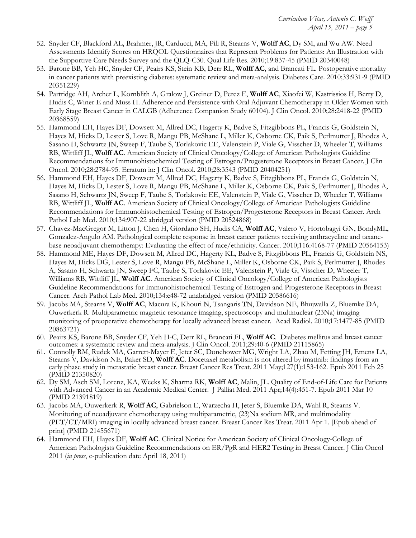- 52. Snyder CF, Blackford AL, Brahmer, JR, Carducci, MA, Pili R, Stearns V, **Wolff AC**, Dy SM, and Wu AW. Need Assessments Identify Scores on HRQOL Questionnaires that Represent Problems for Patients: An Illustration with the Supportive Care Needs Survey and the QLQ-C30. Qual Life Res. 2010;19:837-45 (PMID 20340048)
- 53. Barone BB, Yeh HC, Snyder CF, Peairs KS, Stein KB, Derr RL, **Wolff AC**, and Brancati FL. Postoperative mortality in cancer patients with preexisting diabetes: systematic review and meta-analysis. Diabetes Care. 2010;33:931-9 (PMID 20351229)
- 54. Partridge AH, Archer L, Kornblith A, Gralow J, Greiner D, Perez E, **Wolff AC**, Xiaofei W, Kastrissios H, Berry D, Hudis C, Winer E and Muss H. Adherence and Persistence with Oral Adjuvant Chemotherapy in Older Women with Early Stage Breast Cancer in CALGB (Adherence Companion Study 60104). J Clin Oncol. 2010;28:2418-22 (PMID 20368559)
- 55. Hammond EH, Hayes DF, Dowsett M, Allred DC, Hagerty K, Badve S, Fitzgibbons PL, Francis G, Goldstein N, Hayes M, Hicks D, Lester S, Love R, Mangu PB, McShane L, Miller K, Osborne CK, Paik S, Perlmutter J, Rhodes A, Sasano H, Schwartz JN, Sweep F, Taube S, Torlakovic EE, Valenstein P, Viale G, Visscher D, Wheeler T, Williams RB, Wittliff JL, **Wolff AC**. American Society of Clinical Oncology/College of American Pathologists Guideline Recommendations for Immunohistochemical Testing of Estrogen/Progesterone Receptors in Breast Cancer. J Clin Oncol. 2010;28:2784-95. Erratum in: J Clin Oncol. 2010;28:3543 (PMID 20404251)
- 56. Hammond EH, Hayes DF, Dowsett M, Allred DC, Hagerty K, Badve S, Fitzgibbons PL, Francis G, Goldstein N, Hayes M, Hicks D, Lester S, Love R, Mangu PB, McShane L, Miller K, Osborne CK, Paik S, Perlmutter J, Rhodes A, Sasano H, Schwartz JN, Sweep F, Taube S, Torlakovic EE, Valenstein P, Viale G, Visscher D, Wheeler T, Williams RB, Wittliff JL, **Wolff AC**. American Society of Clinical Oncology/College of American Pathologists Guideline Recommendations for Immunohistochemical Testing of Estrogen/Progesterone Receptors in Breast Cancer. Arch Pathol Lab Med. 2010;134:907-22 abridged version (PMID 20524868)
- 57. Chavez-MacGregor M, Litton J, Chen H, Giordano SH, Hudis CA, **Wolff AC**, Valero V, Hortobagyi GN, BondyML, Gonzalez-Angulo AM. Pathological complete response in breast cancer patients receiving anthracycline and taxanebase neoadjuvant chemotherapy: Evaluating the effect of race/ethnicity. Cancer. 2010;116:4168-77 (PMID 20564153)
- 58. Hammond ME, Hayes DF, Dowsett M, Allred DC, Hagerty KL, Badve S, Fitzgibbons PL, Francis G, Goldstein NS, Hayes M, Hicks DG, Lester S, Love R, Mangu PB, McShane L, Miller K, Osborne CK, Paik S, Perlmutter J, Rhodes A, Sasano H, Schwartz JN, Sweep FC, Taube S, Torlakovic EE, Valenstein P, Viale G, Visscher D, Wheeler T, Williams RB, Wittliff JL, **Wolff AC**. American Society of Clinical Oncology/College of American Pathologists Guideline Recommendations for Immunohistochemical Testing of Estrogen and Progesterone Receptors in Breast Cancer. Arch Pathol Lab Med. 2010;134:e48-72 unabridged version (PMID 20586616)
- 59. Jacobs MA, Stearns V, **Wolff AC**, Macura K, Khouri N, Tsangaris TN, Davidson NE, Bhujwalla Z, Bluemke DA, Ouwerkerk R. Multiparametric magnetic resonance imaging, spectroscopy and multinuclear (23Na) imaging monitoring of preoperative chemotherapy for locally advanced breast cancer. Acad Radiol. 2010;17:1477-85 (PMID 20863721)
- 60. Peairs KS, Barone BB, Snyder CF, Yeh H-C, Derr RL, Brancati FL, **Wolff AC**. Diabetes mellitus and breast cancer outcomes: a systematic review and meta-analysis. J Clin Oncol. 2011;29:40-6 (PMID 21115865)
- 61. Connolly RM, Rudek MA, Garrett-Mayer E, Jeter SC, Donehower MG, Wright LA, Zhao M, Fetting JH, Emens LA, Stearns V, Davidson NE, Baker SD, **Wolff AC**. Docetaxel metabolism is not altered by imatinib: findings from an early phase study in metastatic breast cancer. Breast Cancer Res Treat. 2011 May;127(1):153-162. Epub 2011 Feb 25 (PMID 21350820)
- 62. Dy SM, Asch SM, Lorenz, KA, Weeks K, Sharma RK, **Wolff AC**, Malin, JL. Quality of End-of-Life Care for Patients with Advanced Cancer in an Academic Medical Center. J Palliat Med. 2011 Apr;14(4):451-7. Epub 2011 Mar 10 (PMID 21391819)
- 63. Jacobs MA, Ouwerkerk R, **Wolff AC**, Gabrielson E, Warzecha H, Jeter S, Bluemke DA, Wahl R, Stearns V. Monitoring of neoadjuvant chemotherapy using multiparametric, (23)Na sodium MR, and multimodality (PET/CT/MRI) imaging in locally advanced breast cancer. Breast Cancer Res Treat. 2011 Apr 1. [Epub ahead of print] (PMID 21455671)
- 64. Hammond EH, Hayes DF, **Wolff AC**. Clinical Notice for American Society of Clinical Oncology-College of American Pathologists Guideline Recommendations on ER/PgR and HER2 Testing in Breast Cancer. J Clin Oncol 2011 (*in press*, e-publication date April 18, 2011)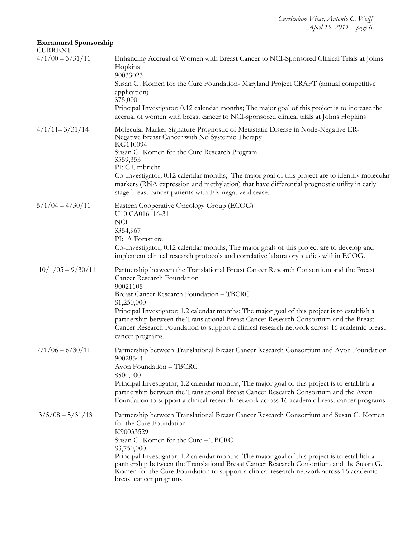# **Extramural Sponsorship**

| Enhancing Accrual of Women with Breast Cancer to NCI-Sponsored Clinical Trials at Johns<br>Hopkins<br>90033023                                                                                                                                                                                                  |
|-----------------------------------------------------------------------------------------------------------------------------------------------------------------------------------------------------------------------------------------------------------------------------------------------------------------|
| Susan G. Komen for the Cure Foundation-Maryland Project CRAFT (annual competitive<br>application)<br>\$75,000                                                                                                                                                                                                   |
| Principal Investigator; 0.12 calendar months; The major goal of this project is to increase the<br>accrual of women with breast cancer to NCI-sponsored clinical trials at Johns Hopkins.                                                                                                                       |
| Molecular Marker Signature Prognostic of Metastatic Disease in Node-Negative ER-<br>Negative Breast Cancer with No Systemic Therapy<br>KG110094                                                                                                                                                                 |
| Susan G. Komen for the Cure Research Program<br>\$559,353<br>PI: C Umbricht                                                                                                                                                                                                                                     |
| Co-Investigator; 0.12 calendar months; The major goal of this project are to identify molecular<br>markers (RNA expression and methylation) that have differential prognostic utility in early<br>stage breast cancer patients with ER-negative disease.                                                        |
| Eastern Cooperative Oncology Group (ECOG)<br>U10 CA016116-31<br><b>NCI</b>                                                                                                                                                                                                                                      |
| \$354,967                                                                                                                                                                                                                                                                                                       |
| PI: A Forastiere                                                                                                                                                                                                                                                                                                |
| Co-Investigator; 0.12 calendar months; The major goals of this project are to develop and<br>implement clinical research protocols and correlative laboratory studies within ECOG.                                                                                                                              |
| Partnership between the Translational Breast Cancer Research Consortium and the Breast<br>Cancer Research Foundation<br>90021105                                                                                                                                                                                |
| <b>Breast Cancer Research Foundation - TBCRC</b>                                                                                                                                                                                                                                                                |
| \$1,250,000<br>Principal Investigator; 1.2 calendar months; The major goal of this project is to establish a                                                                                                                                                                                                    |
| partnership between the Translational Breast Cancer Research Consortium and the Breast<br>Cancer Research Foundation to support a clinical research network across 16 academic breast<br>cancer programs.                                                                                                       |
| Partnership between Translational Breast Cancer Research Consortium and Avon Foundation<br>90028544                                                                                                                                                                                                             |
| Avon Foundation - TBCRC                                                                                                                                                                                                                                                                                         |
| \$500,000<br>Principal Investigator; 1.2 calendar months; The major goal of this project is to establish a                                                                                                                                                                                                      |
| partnership between the Translational Breast Cancer Research Consortium and the Avon<br>Foundation to support a clinical research network across 16 academic breast cancer programs.                                                                                                                            |
| Partnership between Translational Breast Cancer Research Consortium and Susan G. Komen<br>for the Cure Foundation<br>K90033529                                                                                                                                                                                  |
| Susan G. Komen for the Cure - TBCRC<br>\$3,750,000                                                                                                                                                                                                                                                              |
| Principal Investigator; 1.2 calendar months; The major goal of this project is to establish a<br>partnership between the Translational Breast Cancer Research Consortium and the Susan G.<br>Komen for the Cure Foundation to support a clinical research network across 16 academic<br>breast cancer programs. |
|                                                                                                                                                                                                                                                                                                                 |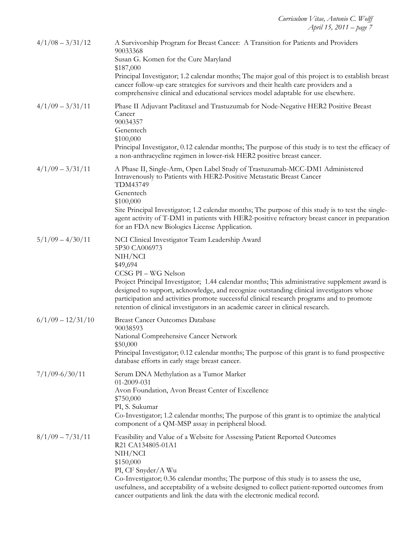| $4/1/08 - 3/31/12$  | A Survivorship Program for Breast Cancer: A Transition for Patients and Providers<br>90033368<br>Susan G. Komen for the Cure Maryland<br>\$187,000<br>Principal Investigator; 1.2 calendar months; The major goal of this project is to establish breast<br>cancer follow-up care strategies for survivors and their health care providers and a<br>comprehensive clinical and educational services model adaptable for use elsewhere.                                                      |
|---------------------|---------------------------------------------------------------------------------------------------------------------------------------------------------------------------------------------------------------------------------------------------------------------------------------------------------------------------------------------------------------------------------------------------------------------------------------------------------------------------------------------|
| $4/1/09 - 3/31/11$  | Phase II Adjuvant Paclitaxel and Trastuzumab for Node-Negative HER2 Positive Breast<br>Cancer<br>90034357<br>Genentech<br>\$100,000<br>Principal Investigator, 0.12 calendar months; The purpose of this study is to test the efficacy of<br>a non-anthracycline regimen in lower-risk HER2 positive breast cancer.                                                                                                                                                                         |
| $4/1/09 - 3/31/11$  | A Phase II, Single-Arm, Open Label Study of Trastuzumab-MCC-DM1 Administered<br>Intravenously to Patients with HER2-Positive Metastatic Breast Cancer<br>TDM43749<br>Genentech<br>\$100,000<br>Site Principal Investigator; 1.2 calendar months; The purpose of this study is to test the single-<br>agent activity of T-DM1 in patients with HER2-positive refractory breast cancer in preparation<br>for an FDA new Biologics License Application.                                        |
| $5/1/09 - 4/30/11$  | NCI Clinical Investigator Team Leadership Award<br>5P30 CA006973<br>NIH/NCI<br>\$49,694<br>CCSG PI - WG Nelson<br>Project Principal Investigator; 1.44 calendar months; This administrative supplement award is<br>designed to support, acknowledge, and recognize outstanding clinical investigators whose<br>participation and activities promote successful clinical research programs and to promote<br>retention of clinical investigators in an academic career in clinical research. |
| $6/1/09 - 12/31/10$ | <b>Breast Cancer Outcomes Database</b><br>90038593<br>National Comprehensive Cancer Network<br>\$50,000<br>Principal Investigator; 0.12 calendar months; The purpose of this grant is to fund prospective<br>database efforts in early stage breast cancer.                                                                                                                                                                                                                                 |
| $7/1/09 - 6/30/11$  | Serum DNA Methylation as a Tumor Marker<br>01-2009-031<br>Avon Foundation, Avon Breast Center of Excellence<br>\$750,000<br>PI, S. Sukumar<br>Co-Investigator; 1.2 calendar months; The purpose of this grant is to optimize the analytical<br>component of a QM-MSP assay in peripheral blood.                                                                                                                                                                                             |
| $8/1/09 - 7/31/11$  | Feasibility and Value of a Website for Assessing Patient Reported Outcomes<br>R21 CA134805-01A1<br>NIH/NCI<br>\$150,000<br>PI, CF Snyder/A Wu<br>Co-Investigator; 0.36 calendar months; The purpose of this study is to assess the use,<br>usefulness, and acceptability of a website designed to collect patient-reported outcomes from<br>cancer outpatients and link the data with the electronic medical record.                                                                        |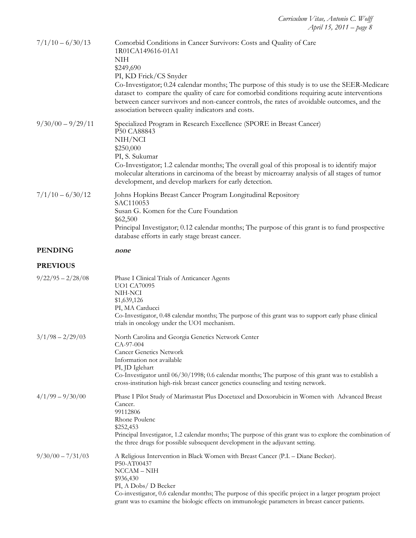| $7/1/10 - 6/30/13$  | Comorbid Conditions in Cancer Survivors: Costs and Quality of Care<br>1R01CA149616-01A1<br><b>NIH</b><br>\$249,690<br>PI, KD Frick/CS Snyder<br>Co-Investigator; 0.24 calendar months; The purpose of this study is to use the SEER-Medicare<br>dataset to compare the quality of care for comorbid conditions requiring acute interventions<br>between cancer survivors and non-cancer controls, the rates of avoidable outcomes, and the<br>association between quality indicators and costs. |
|---------------------|-------------------------------------------------------------------------------------------------------------------------------------------------------------------------------------------------------------------------------------------------------------------------------------------------------------------------------------------------------------------------------------------------------------------------------------------------------------------------------------------------|
| $9/30/00 - 9/29/11$ | Specialized Program in Research Excellence (SPORE in Breast Cancer)<br>P50 CA88843<br>NIH/NCI<br>\$250,000<br>PI, S. Sukumar<br>Co-Investigator; 1.2 calendar months; The overall goal of this proposal is to identify major<br>molecular alterations in carcinoma of the breast by microarray analysis of all stages of tumor<br>development, and develop markers for early detection.                                                                                                         |
| $7/1/10 - 6/30/12$  | Johns Hopkins Breast Cancer Program Longitudinal Repository<br>SAC110053<br>Susan G. Komen for the Cure Foundation<br>\$62,500<br>Principal Investigator; 0.12 calendar months; The purpose of this grant is to fund prospective<br>database efforts in early stage breast cancer.                                                                                                                                                                                                              |
| <b>PENDING</b>      | none                                                                                                                                                                                                                                                                                                                                                                                                                                                                                            |
| <b>PREVIOUS</b>     |                                                                                                                                                                                                                                                                                                                                                                                                                                                                                                 |
| $9/22/95 - 2/28/08$ | Phase I Clinical Trials of Anticancer Agents<br><b>UO1 CA70095</b><br>NIH-NCI<br>\$1,639,126<br>PI, MA Carducci<br>Co-Investigator, 0.48 calendar months; The purpose of this grant was to support early phase clinical<br>trials in oncology under the UO1 mechanism.                                                                                                                                                                                                                          |
| $3/1/98 - 2/29/03$  | North Carolina and Georgia Genetics Network Center<br>CA-97-004<br><b>Cancer Genetics Network</b><br>Information not available<br>PI, JD Iglehart<br>Co-Investigator until 06/30/1998; 0.6 calendar months; The purpose of this grant was to establish a<br>cross-institution high-risk breast cancer genetics counseling and testing network.                                                                                                                                                  |
| $4/1/99 - 9/30/00$  | Phase I Pilot Study of Marimastat Plus Docetaxel and Doxorubicin in Women with Advanced Breast<br>Cancer.<br>99112806<br>Rhone Poulenc<br>\$252,453<br>Principal Investigator, 1.2 calendar months; The purpose of this grant was to explore the combination of<br>the three drugs for possible subsequent development in the adjuvant setting.                                                                                                                                                 |
| $9/30/00 - 7/31/03$ | A Religious Intervention in Black Women with Breast Cancer (P.I. – Diane Becker).<br>P50-AT00437<br>$NCCAM - NIH$<br>\$936,430<br>PI, A Dobs/ D Becker<br>Co-investigator, 0.6 calendar months; The purpose of this specific project in a larger program project<br>grant was to examine the biologic effects on immunologic parameters in breast cancer patients.                                                                                                                              |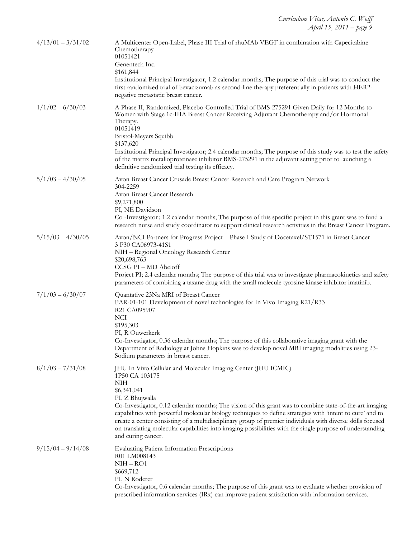| $4/13/01 - 3/31/02$ | A Multicenter Open-Label, Phase III Trial of rhuMAb VEGF in combination with Capecitabine<br>Chemotherapy<br>01051421<br>Genentech Inc.<br>\$161,844<br>Institutional Principal Investigator, 1.2 calendar months; The purpose of this trial was to conduct the<br>first randomized trial of bevacizumab as second-line therapy preferentially in patients with HER2-<br>negative metastatic breast cancer.                                                                                                                                                                                              |
|---------------------|----------------------------------------------------------------------------------------------------------------------------------------------------------------------------------------------------------------------------------------------------------------------------------------------------------------------------------------------------------------------------------------------------------------------------------------------------------------------------------------------------------------------------------------------------------------------------------------------------------|
| $1/1/02 - 6/30/03$  | A Phase II, Randomized, Placebo-Controlled Trial of BMS-275291 Given Daily for 12 Months to<br>Women with Stage 1c-IIIA Breast Cancer Receiving Adjuvant Chemotherapy and/or Hormonal<br>Therapy.<br>01051419<br>Bristol-Meyers Squibb<br>\$137,620<br>Institutional Principal Investigator; 2.4 calendar months; The purpose of this study was to test the safety<br>of the matrix metalloproteinase inhibitor BMS-275291 in the adjuvant setting prior to launching a<br>definitive randomized trial testing its efficacy.                                                                             |
| $5/1/03 - 4/30/05$  | Avon Breast Cancer Crusade Breast Cancer Research and Care Program Network<br>304-2259<br>Avon Breast Cancer Research<br>\$9,271,800<br>PI, NE Davidson<br>Co-Investigator; 1.2 calendar months; The purpose of this specific project in this grant was to fund a<br>research nurse and study coordinator to support clinical research activities in the Breast Cancer Program.                                                                                                                                                                                                                          |
| $5/15/03 - 4/30/05$ | Avon/NCI Partners for Progress Project - Phase I Study of Docetaxel/ST1571 in Breast Cancer<br>3 P30 CA06973-41S1<br>NIH - Regional Oncology Research Center<br>\$20,698,763<br>CCSG PI-MD Abeloff<br>Project PI; 2.4 calendar months; The purpose of this trial was to investigate pharmacokinetics and safety<br>parameters of combining a taxane drug with the small molecule tyrosine kinase inhibitor imatinib.                                                                                                                                                                                     |
| $7/1/03 - 6/30/07$  | Quantative 23Na MRI of Breast Cancer<br>PAR-01-101 Development of novel technologies for In Vivo Imaging R21/R33<br>R21 CA095907<br><b>NCI</b><br>\$195,303<br>PI, R Ouwerkerk<br>Co-Investigator, 0.36 calendar months; The purpose of this collaborative imaging grant with the<br>Department of Radiology at Johns Hopkins was to develop novel MRI imaging modalities using 23-<br>Sodium parameters in breast cancer.                                                                                                                                                                               |
| $8/1/03 - 7/31/08$  | JHU In Vivo Cellular and Molecular Imaging Center (JHU ICMIC)<br>1P50 CA 103175<br><b>NIH</b><br>\$6,341,041<br>PI, Z Bhujwalla<br>Co-Investigator, 0.12 calendar months; The vision of this grant was to combine state-of-the-art imaging<br>capabilities with powerful molecular biology techniques to define strategies with 'intent to cure' and to<br>create a center consisting of a multidisciplinary group of premier individuals with diverse skills focused<br>on translating molecular capabilities into imaging possibilities with the single purpose of understanding<br>and curing cancer. |
| $9/15/04 - 9/14/08$ | <b>Evaluating Patient Information Prescriptions</b><br>R01 LM008143<br>$NIH - RO1$<br>\$669,712<br>PI, N Roderer<br>Co-Investigator, 0.6 calendar months; The purpose of this grant was to evaluate whether provision of<br>prescribed information services (IRx) can improve patient satisfaction with information services.                                                                                                                                                                                                                                                                            |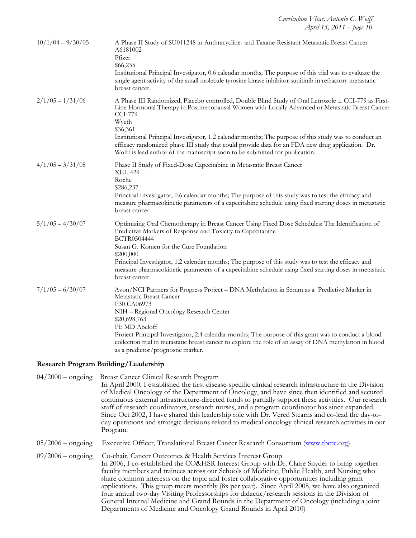| $10/1/04 - 9/30/05$ | A Phase II Study of SU011248 in Anthracycline- and Taxane-Resistant Metastatic Breast Cancer<br>A6181002<br>Pfizer<br>\$66,235<br>Institutional Principal Investigator, 0.6 calendar months; The purpose of this trial was to evaluate the<br>single agent activity of the small molecule tyrosine kinase inhibitor sunitinib in refractory metastatic<br>breast cancer.                                                                                                                                                                     |
|---------------------|----------------------------------------------------------------------------------------------------------------------------------------------------------------------------------------------------------------------------------------------------------------------------------------------------------------------------------------------------------------------------------------------------------------------------------------------------------------------------------------------------------------------------------------------|
| $2/1/05 - 1/31/06$  | A Phase III Randomized, Placebo controlled, Double Blind Study of Oral Letrozole ± CCI-779 as First-<br>Line Hormonal Therapy in Postmenopausal Women with Locally Advanced or Metastatic Breast Cancer<br><b>CCI-779</b><br>Wyeth<br>\$36,361<br>Institutional Principal Investigator, 1.2 calendar months; The purpose of this study was to conduct an<br>efficacy randomized phase III study that could provide data for an FDA new drug application. Dr.<br>Wolff is lead author of the manuscript soon to be submitted for publication. |
| $4/1/05 - 3/31/08$  | Phase II Study of Fixed-Dose Capecitabine in Metastatic Breast Cancer<br><b>XEL-429</b><br>Roche<br>\$286,237<br>Principal Investigator, 0.6 calendar months; The purpose of this study was to test the efficacy and<br>measure pharmacokinetic parameters of a capecitabine schedule using fixed starting doses in metastatic<br>breast cancer.                                                                                                                                                                                             |
| $5/1/05 - 4/30/07$  | Optimizing Oral Chemotherapy in Breast Cancer Using Fixed Dose Schedules: The Identification of<br>Predictive Markers of Response and Toxicity to Capecitabine<br>BCTR0504444<br>Susan G. Komen for the Cure Foundation<br>\$200,000<br>Principal Investigator, 1.2 calendar months; The purpose of this study was to test the efficacy and<br>measure pharmacokinetic parameters of a capecitabine schedule using fixed starting doses in metastatic<br>breast cancer.                                                                      |
| $7/1/05 - 6/30/07$  | Avon/NCI Partners for Progress Project - DNA Methylation in Serum as a Predictive Marker in<br>Metastatic Breast Cancer<br>P30 CA06973<br>NIH - Regional Oncology Research Center<br>\$20,698,763<br>PI: MD Abeloff<br>Project Principal Investigator, 2.4 calendar months; The purpose of this grant was to conduct a blood<br>collection trial in metastatic breast cancer to explore the role of an assay of DNA methylation in blood<br>as a predictor/prognostic marker.                                                                |

# **Research Program Building/Leadership**

| $04/2000 -$ ongoing | Breast Cancer Clinical Research Program<br>In April 2000, I established the first disease-specific clinical research infrastructure in the Division<br>of Medical Oncology of the Department of Oncology, and have since then identified and secured<br>continuous external infrastructure-directed funds to partially support these activities. Our research<br>staff of research coordinators, research nurses, and a program coordinator has since expanded.<br>Since Oct 2002, I have shared this leadership role with Dr. Vered Stearns and co-lead the day-to-<br>day operations and strategic decisions related to medical oncology clinical research activities in our<br>Program.                                    |
|---------------------|-------------------------------------------------------------------------------------------------------------------------------------------------------------------------------------------------------------------------------------------------------------------------------------------------------------------------------------------------------------------------------------------------------------------------------------------------------------------------------------------------------------------------------------------------------------------------------------------------------------------------------------------------------------------------------------------------------------------------------|
| $05/2006$ – ongoing | Executive Officer, Translational Breast Cancer Research Consortium (www.tbcrc.org)                                                                                                                                                                                                                                                                                                                                                                                                                                                                                                                                                                                                                                            |
| $09/2006$ – ongoing | Co-chair, Cancer Outcomes & Health Services Interest Group<br>In 2006, I co-established the CO&HSR Interest Group with Dr. Claire Snyder to bring together<br>faculty members and trainees across our Schools of Medicine, Public Health, and Nursing who<br>share common interests on the topic and foster collaborative opportunities including grant<br>applications. This group meets monthly (8x per year). Since April 2008, we have also organized<br>four annual two-day Visiting Professorships for didactic/research sessions in the Division of<br>General Internal Medicine and Grand Rounds in the Department of Oncology (including a joint<br>Departments of Medicine and Oncology Grand Rounds in April 2010) |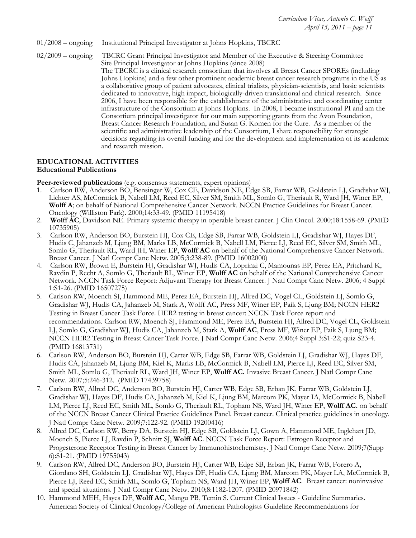- 01/2008 ongoing Institutional Principal Investigator at Johns Hopkins, TBCRC
- 02/2009 ongoing TBCRC Grant Principal Investigator and Member of the Executive & Steering Committee Site Principal Investigator at Johns Hopkins (since 2008)

The TBCRC is a clinical research consortium that involves all Breast Cancer SPOREs (including Johns Hopkins) and a few other prominent academic breast cancer research programs in the US as a collaborative group of patient advocates, clinical trialists, physician-scientists, and basic scientists dedicated to innovative, high impact, biologically-driven translational and clinical research. Since 2006, I have been responsible for the establishment of the administrative and coordinating center infrastructure of the Consortium at Johns Hopkins. In 2008, I became institutional PI and am the Consortium principal investigator for our main supporting grants from the Avon Foundation, Breast Cancer Research Foundation, and Susan G. Komen for the Cure. As a member of the scientific and administrative leadership of the Consortium, I share responsibility for strategic decisions regarding its overall funding and for the development and implementation of its academic and research mission.

#### **EDUCATIONAL ACTIVITIES Educational Publications**

**Peer-reviewed publications** (e.g. consensus statements, expert opinions)

- 1. Carlson RW, Anderson BO, Bensinger W, Cox CE, Davidson NE, Edge SB, Farrar WB, Goldstein LJ, Gradishar WJ, Lichter AS, McCormick B, Nabell LM, Reed EC, Silver SM, Smith ML, Somlo G, Theriault R, Ward JH, Winer EP, **Wolff A**; on behalf of National Comprehensive Cancer Network. NCCN Practice Guidelines for Breast Cancer. Oncology (Williston Park). 2000;14:33-49. (PMID 11195418)
- 2. **Wolff AC**, Davidson NE. Primary systemic therapy in operable breast cancer. J Clin Oncol. 2000;18:1558-69. (PMID 10735905)
- 3. Carlson RW, Anderson BO, Burstein HJ, Cox CE, Edge SB, Farrar WB, Goldstein LJ, Gradishar WJ, Hayes DF, Hudis C, Jahanzeb M, Ljung BM, Marks LB, McCormick B, Nabell LM, Pierce LJ, Reed EC, Silver SM, Smith ML, Somlo G, Theriault RL, Ward JH, Winer EP, **Wolff AC** on behalf of the National Comprehensive Cancer Network. Breast Cancer. J Natl Compr Canc Netw. 2005;3:238-89. (PMID 16002000)
- 4. Carlson RW, Brown E, Burstein HJ, Gradishar WJ, Hudis CA, Loprinzi C, Mamounas EP, Perez EA, Pritchard K, Ravdin P, Recht A, Somlo G, Theriault RL, Winer EP, **Wolff AC** on behalf of the National Comprehensive Cancer Network. NCCN Task Force Report: Adjuvant Therapy for Breast Cancer. J Natl Compr Canc Netw. 2006; 4 Suppl 1:S1-26. (PMID 16507275)
- 5. Carlson RW, Moench SJ, Hammond ME, Perez EA, Burstein HJ, Allred DC, Vogel CL, Goldstein LJ, Somlo G, Gradishar WJ, Hudis CA, Jahanzeb M, Stark A, Wolff AC, Press MF, Winer EP, Paik S, Ljung BM; NCCN HER2 Testing in Breast Cancer Task Force. HER2 testing in breast cancer: NCCN Task Force report and recommendations. Carlson RW, Moench SJ, Hammond ME, Perez EA, Burstein HJ, Allred DC, Vogel CL, Goldstein LJ, Somlo G, Gradishar WJ, Hudis CA, Jahanzeb M, Stark A, **Wolff AC**, Press MF, Winer EP, Paik S, Ljung BM; NCCN HER2 Testing in Breast Cancer Task Force. J Natl Compr Canc Netw. 2006;4 Suppl 3:S1-22; quiz S23-4. (PMID 16813731)
- 6. Carlson RW, Anderson BO, Burstein HJ, Carter WB, Edge SB, Farrar WB, Goldstein LJ, Gradishar WJ, Hayes DF, Hudis CA, Jahanzeb M, Ljung BM, Kiel K, Marks LB, McCormick B, Nabell LM, Pierce LJ, Reed EC, Silver SM, Smith ML, Somlo G, Theriault RL, Ward JH, Winer EP, **Wolff AC.** Invasive Breast Cancer. J Natl Compr Canc Netw. 2007;5:246-312.(PMID 17439758)
- 7. Carlson RW, Allred DC, Anderson BO, Burstein HJ, Carter WB, Edge SB, Erban JK, Farrar WB, Goldstein LJ, Gradishar WJ, Hayes DF, Hudis CA, Jahanzeb M, Kiel K, Ljung BM, Marcom PK, Mayer IA, McCormick B, Nabell LM, Pierce LJ, Reed EC, Smith ML, Somlo G, Theriault RL, Topham NS, Ward JH, Winer EP, **Wolff AC.** on behalf of the NCCN Breast Cancer Clinical Practice Guidelines Panel. Breast cancer. Clinical practice guidelines in oncology. J Natl Compr Canc Netw. 2009;7:122-92. (PMID 19200416)
- 8. Allred DC, Carlson RW, Berry DA, Burstein HJ, Edge SB, Goldstein LJ, Gown A, Hammond ME, Inglehart JD, Moench S, Pierce LJ, Ravdin P, Schnitt SJ, **Wolff AC**. NCCN Task Force Report: Estrogen Receptor and Progesterone Receptor Testing in Breast Cancer by Immunohistochemistry. J Natl Compr Canc Netw. 2009;7(Supp 6):S1-21. (PMID 19755043)
- 9. Carlson RW, Allred DC, Anderson BO, Burstein HJ, Carter WB, Edge SB, Erban JK, Farrar WB, Forero A, Giordano SH, Goldstein LJ, Gradishar WJ, Hayes DF, Hudis CA, Ljung BM, Marcom PK, Mayer LA, McCormick B, Pierce LJ, Reed EC, Smith ML, Somlo G, Topham NS, Ward JH, Winer EP, **Wolff AC**. Breast cancer: noninvasive and special situations. J Natl Compr Canc Netw. 2010;8:1182-1207. (PMID 20971842)
- 10. Hammond MEH, Hayes DF, **Wolff AC**, Mangu PB, Temin S. Current Clinical Issues Guideline Summaries. American Society of Clinical Oncology/College of American Pathologists Guideline Recommendations for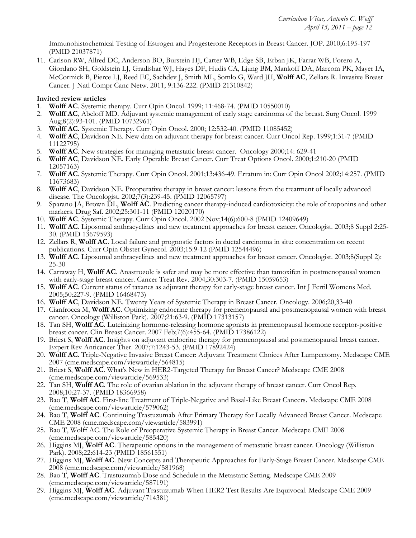Immunohistochemical Testing of Estrogen and Progesterone Receptors in Breast Cancer. JOP. 2010;6:195-197 (PMID 21037871)

11. Carlson RW, Allred DC, Anderson BO, Burstein HJ, Carter WB, Edge SB, Erban JK, Farrar WB, Forero A, Giordano SH, Goldstein LJ, Gradishar WJ, Hayes DF, Hudis CA, Ljung BM, Mankoff DA, Marcom PK, Mayer IA, McCormick B, Pierce LJ, Reed EC, Sachdev J, Smith ML, Somlo G, Ward JH, **Wolff AC**, Zellars R. Invasive Breast Cancer. J Natl Compr Canc Netw. 2011; 9:136-222. (PMID 21310842)

#### **Invited review articles**

- 1. **Wolff AC**. Systemic therapy. Curr Opin Oncol. 1999; 11:468-74. (PMID 10550010)
- 2. **Wolff AC**, Abeloff MD. Adjuvant systemic management of early stage carcinoma of the breast. Surg Oncol. 1999 Aug;8(2):93-101. (PMID 10732961)
- 3. **Wolff AC.** Systemic Therapy. Curr Opin Oncol. 2000; 12:532-40. (PMID 11085452)
- 4. **Wolff AC**, Davidson NE. New data on adjuvant therapy for breast cancer. Curr Oncol Rep. 1999;1:31-7 (PMID 11122795)
- 5. **Wolff AC**. New strategies for managing metastatic breast cancer. Oncology 2000;14: 629-41
- 6. **Wolff AC**, Davidson NE. Early Operable Breast Cancer. Curr Treat Options Oncol. 2000;1:210-20 (PMID 12057163)
- 7. **Wolff AC**. Systemic Therapy. Curr Opin Oncol. 2001;13:436-49. Erratum in: Curr Opin Oncol 2002;14:257. (PMID 11673683)
- 8. **Wolff AC**, Davidson NE. Preoperative therapy in breast cancer: lessons from the treatment of locally advanced disease. The Oncologist. 2002;7(3):239-45. (PMID 12065797)
- 9. Sparano JA, Brown DL, **Wolff AC**. Predicting cancer therapy-induced cardiotoxicity: the role of troponins and other markers. Drug Saf. 2002;25:301-11 (PMID 12020170)
- 10. **Wolff AC**. Systemic Therapy. Curr Opin Oncol. 2002 Nov;14(6):600-8 (PMID 12409649)
- 11. **Wolff AC**. Liposomal anthracyclines and new treatment approaches for breast cancer. Oncologist. 2003;8 Suppl 2:25- 30. (PMID 13679593)
- 12. Zellars R, **Wolff AC**. Local failure and prognostic factors in ductal carcinoma in situ: concentration on recent publications. Curr Opin Obstet Gynecol. 2003;15:9-12 (PMID 12544496)
- 13. **Wolff AC**. Liposomal anthracyclines and new treatment approaches for breast cancer. Oncologist. 2003;8(Suppl 2): 25-30
- 14. Carraway H, **Wolff AC**. Anastrozole is safer and may be more effective than tamoxifen in postmenopausal women with early-stage breast cancer. Cancer Treat Rev. 2004;30:303-7. (PMID 15059653)
- 15. **Wolff AC**. Current status of taxanes as adjuvant therapy for early-stage breast cancer. Int J Fertil Womens Med. 2005;50:227-9. (PMID 16468473)
- 16. **Wolff AC**, Davidson NE. Twenty Years of Systemic Therapy in Breast Cancer. Oncology. 2006;20,33-40
- 17. Cianfrocca M, **Wolff AC**. Optimizing endocrine therapy for premenopausal and postmenopausal women with breast cancer. Oncology (Williston Park). 2007;21:63-9. (PMID 17313157)
- 18. Tan SH, **Wolff AC**. Luteinizing hormone-releasing hormone agonists in premenopausal hormone receptor-positive breast cancer. Clin Breast Cancer. 2007 Feb;7(6):455-64. (PMID 17386122)
- 19. Briest S, **Wolff AC**. Insights on adjuvant endocrine therapy for premenopausal and postmenopausal breast cancer. Expert Rev Anticancer Ther. 2007;7:1243-53. (PMID 17892424)
- 20. **Wolff AC**. Triple-Negative Invasive Breast Cancer: Adjuvant Treatment Choices After Lumpectomy. Medscape CME 2007 (cme.medscape.com/viewarticle/564815)
- 21. Briest S, **Wolff AC**. What's New in HER2-Targeted Therapy for Breast Cancer? Medscape CME 2008 (cme.medscape.com/viewarticle/569533)
- 22. Tan SH, **Wolff AC**. The role of ovarian ablation in the adjuvant therapy of breast cancer. Curr Oncol Rep. 2008;10:27-37. (PMID 18366958)
- 23. Bao T, **Wolff AC**. First-line Treatment of Triple-Negative and Basal-Like Breast Cancers. Medscape CME 2008 (cme.medscape.com/viewarticle/579062)
- 24. Bao T, **Wolff AC**. Continuing Trastuzumab After Primary Therapy for Locally Advanced Breast Cancer. Medscape CME 2008 (cme.medscape.com/viewarticle/583991)
- 25. Bao T, Wolff AC. The Role of Preoperative Systemic Therapy in Breast Cancer. Medscape CME 2008 (cme.medscape.com/viewarticle/585420)
- 26. Higgins MJ, **Wolff AC**. Therapeutic options in the management of metastatic breast cancer. Oncology (Williston Park). 2008;22:614-23 (PMID 18561551)
- 27. Higgins MJ, **Wolff AC**. New Concepts and Therapeutic Approaches for Early-Stage Breast Cancer. Medscape CME 2008 (cme.medscape.com/viewarticle/581968)
- 28. Bao T, **Wolff AC**. Trastuzumab Dose and Schedule in the Metastatic Setting. Medscape CME 2009 (cme.medscape.com/viewarticle/587191)
- 29. Higgins MJ, **Wolff AC**. Adjuvant Trastuzumab When HER2 Test Results Are Equivocal. Medscape CME 2009 (cme.medscape.com/viewarticle/714381)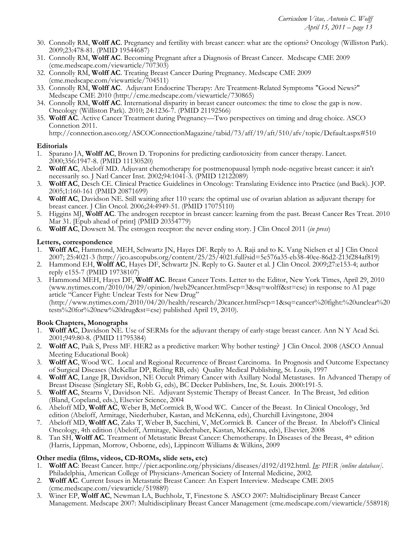- 30. Connolly RM, **Wolff AC**. Pregnancy and fertility with breast cancer: what are the options? Oncology (Williston Park). 2009;23:478-81. (PMID 19544687)
- 31. Connolly RM, **Wolff AC**. Becoming Pregnant after a Diagnosis of Breast Cancer. Medscape CME 2009 (cme.medscape.com/viewarticle/707303)
- 32. Connolly RM, **Wolff AC**. Treating Breast Cancer During Pregnancy. Medscape CME 2009 (cme.medscape.com/viewarticle/704511)
- 33. Connolly RM, **Wolff AC**. Adjuvant Endocrine Therapy: Are Treatment-Related Symptoms "Good News?" Medscape CME 2010 (http://cme.medscape.com/viewarticle/730865)
- 34. Connolly RM, **Wolff AC**. International disparity in breast cancer outcomes: the time to close the gap is now. Oncology (Williston Park). 2010; 24:1236-7. (PMID 21192566)
- 35. **Wolff AC**. Active Cancer Treatment during Pregnancy—Two perspectives on timing and drug choice. ASCO Connetion 2011.

http://connection.asco.org/ASCOConnectionMagazine/tabid/73/aff/19/aft/510/afv/topic/Default.aspx#510

# **Editorials**

- 1. Sparano JA, **Wolff AC**, Brown D. Troponins for predicting cardiotoxicity from cancer therapy. Lancet. 2000;356:1947-8. (PMID 11130520)
- 2. **Wolff AC**, Abeloff MD. Adjuvant chemotherapy for postmenopausal lymph node-negative breast cancer: it ain't necessarily so. J Natl Cancer Inst. 2002;94:1041-3. (PMID 12122089)
- 3. **Wolff AC**, Desch CE. Clinical Practice Guidelines in Oncology: Translating Evidence into Practice (and Back). JOP. 2005;1:160-161 (PMID 20871699)
- 4. **Wolff AC**, Davidson NE. Still waiting after 110 years: the optimal use of ovarian ablation as adjuvant therapy for breast cancer. J Clin Oncol. 2006;24:4949-51. (PMID 17075110)
- 5. Higgins MJ, **Wolff AC**. The androgen receptor in breast cancer: learning from the past. Breast Cancer Res Treat. 2010 Mar 31. [Epub ahead of print] (PMID 20354779)
- 6. **Wolff AC**, Dowsett M. The estrogen receptor: the never ending story. J Clin Oncol 2011 (*in press*)

# **Letters, correspondence**

- 1. **Wolff AC**, Hammond, MEH, Schwartz JN, Hayes DF. Reply to A. Raji and to K. Vang Nielsen et al J Clin Oncol 2007; 25:4021-3 (http://jco.ascopubs.org/content/25/25/4021.full?sid=5e576a35-eb38-40ee-86d2-213f284af819)
- 2. Hammond EH, **Wolff AC**, Hayes DF, Schwartz JN. Reply to G. Sauter et al. J Clin Oncol. 2009;27:e153-4; author reply e155-7 (PMID 19738107)
- 3. Hammond MEH, Hayes DF, **Wolff AC**. Breast Cancer Tests. Letter to the Editor, New York Times, April 29, 2010 (www.nytimes.com/2010/04/29/opinion/lweb29cancer.html?scp=3&sq=wolff&st=cse) in response to A1 page article "Cancer Fight: Unclear Tests for New Drug"

(http://www.nytimes.com/2010/04/20/health/research/20cancer.html?scp=1&sq=cancer%20fight:%20unclear%20 tests%20for%20new%20drug&st=cse) published April 19, 2010).

## **Book Chapters, Monographs**

- 1. **Wolff AC**, Davidson NE. Use of SERMs for the adjuvant therapy of early-stage breast cancer. Ann N Y Acad Sci. 2001;949:80-8. (PMID 11795384)
- 2. **Wolff AC**, Paik S, Press MF. HER2 as a predictive marker: Why bother testing? J Clin Oncol. 2008 (ASCO Annual Meeting Educational Book)
- 3. **Wolff AC**, Wood WC. Local and Regional Recurrence of Breast Carcinoma. In Prognosis and Outcome Expectancy of Surgical Diseases (McKellar DP, Reiling RB, eds) Quality Medical Publishing, St. Louis, 1997
- 4. **Wolff AC**, Lange JR, Davidson, NE Occult Primary Cancer with Axillary Nodal Metastases. In Advanced Therapy of Breast Disease (Singletary SE, Robb G, eds), BC Decker Publishers, Inc, St. Louis. 2000:191-5.
- 5. **Wolff AC**, Stearns V, Davidson NE. Adjuvant Systemic Therapy of Breast Cancer. In The Breast, 3rd edition (Bland, Copeland, eds.), Elsevier Science, 2004
- 6. Abeloff MD, **Wolff AC**, Weber B, McCormick B, Wood WC. Cancer of the Breast. In Clinical Oncology, 3rd edition (Abeloff, Armitage, Niederhuber, Kastan, and McKenna, eds), Churchill Livingstone, 2004
- 7. Abeloff MD, **Wolff AC**, Zaks T, Weber B, Sacchini, V, McCormick B. Cancer of the Breast. In Abeloff's Clinical Oncology, 4th edition (Abeloff, Armitage, Niederhuber, Kastan, McKenna, eds), Elsevier, 2008
- 8. Tan SH, **Wolff AC**. Treatment of Metastatic Breast Cancer: Chemotherapy. In Diseases of the Breast, 4<sup>th</sup> edition (Harris, Lippman, Morrow, Osborne, eds), Lippincott Williams & Wilkins, 2009

## **Other media (films, videos, CD-ROMs, slide sets, etc)**

- 1. **Wolff AC**: Breast Cancer. http://pier.acponline.org/physicians/diseases/d192/d192.html. *In: PIER [online database].* Philadelphia, American College of Physicians-American Society of Internal Medicine, 2002.
- 2. **Wolff AC**. Current Issues in Metastatic Breast Cancer: An Expert Interview. Medscape CME 2005 (cme.medscape.com/viewarticle/519889)
- 3. Winer EP, **Wolff AC**, Newman LA, Buchholz, T, Finestone S. ASCO 2007: Multidisciplinary Breast Cancer Management. Medscape 2007: Multidisciplinary Breast Cancer Management (cme.medscape.com/viewarticle/558918)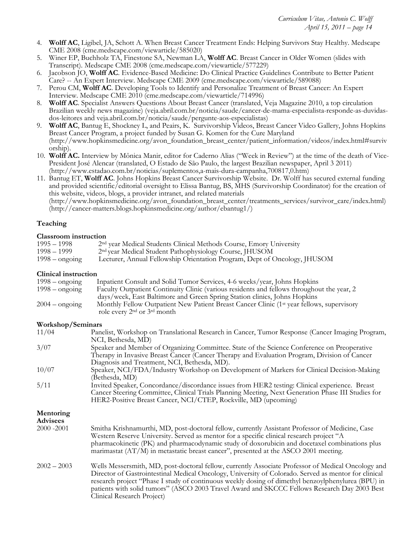- 4. **Wolff AC**, Ligibel, JA, Schott A. When Breast Cancer Treatment Ends: Helping Survivors Stay Healthy. Medscape CME 2008 (cme.medscape.com/viewarticle/585020)
- 5. Winer EP, Buchholz TA, Finestone SA, Newman LA, **Wolff AC**. Breast Cancer in Older Women (slides with Transcript). Medscape CME 2008 (cme.medscape.com/viewarticle/577229)
- 6. Jacobson JO, **Wolff AC**. Evidence-Based Medicine: Do Clinical Practice Guidelines Contribute to Better Patient Care? -- An Expert Interview. Medscape CME 2009 (cme.medscape.com/viewarticle/589088)
- 7. Perou CM, **Wolff AC**. Developing Tools to Identify and Personalize Treatment of Breast Cancer: An Expert Interview. Medscape CME 2010 (cme.medscape.com/viewarticle/714996)
- 8. **Wolff AC**. Specialist Answers Questions About Breast Cancer (translated, Veja Magazine 2010, a top circulation Brazilian weekly news magazine) (veja.abril.com.br/noticia/saude/cancer-de-mama-especialista-responde-as-duvidasdos-leitores and veja.abril.com.br/noticia/saude/pergunte-aos-especialistas)
- 9. **Wolff AC**, Bantug E, Shockney L, and Peairs, K. Survivorship Videos, Breast Cancer Video Gallery, Johns Hopkins Breast Cancer Program, a project funded by Susan G. Komen for the Cure Maryland (http://www.hopkinsmedicine.org/avon\_foundation\_breast\_center/patient\_information/videos/index.html#surviv orship).
- 10. **Wolff AC.** Interview by Mônica Manir, editor for Caderno Alias ("Week in Review") at the time of the death of Vice-President José Alencar (translated, O Estado de São Paulo, the largest Brazilian newspaper, April 3 2011) (http://www.estadao.com.br/noticias/suplementos,a-mais-dura-campanha,700817,0.htm)
- 11. Bantug ET, **Wolff AC**. Johns Hopkins Breast Cancer Survivorship Website. Dr. Wolff has secured external funding and provided scientific/editorial oversight to Elissa Bantug, BS, MHS (Survivorship Coordinator) for the creation of this website, videos, blogs, a provider intranet, and related materials (http://www.hopkinsmedicine.org/avon\_foundation\_breast\_center/treatments\_services/survivor\_care/index.html)

(http://cancer-matters.blogs.hopkinsmedicine.org/author/ebantug1/)

## **Teaching**

#### **Classroom instruction**

| $1995 - 1998$           | 2 <sup>nd</sup> year Medical Students Clinical Methods Course, Emory University |
|-------------------------|---------------------------------------------------------------------------------|
| 1998 – 1999             | 2 <sup>nd</sup> year Medical Student Pathophysiology Course, JHUSOM             |
| $1998 - \text{ongoing}$ | Lecturer, Annual Fellowship Orientation Program, Dept of Oncology, JHUSOM       |

#### **Clinical instruction**

| $1998 - \text{ongoing}$ | Inpatient Consult and Solid Tumor Services, 4-6 weeks/year, Johns Hopkins                                                                |
|-------------------------|------------------------------------------------------------------------------------------------------------------------------------------|
| $1998 - \text{ongoing}$ | Faculty Outpatient Continuity Clinic (various residents and fellows throughout the year, 2                                               |
|                         | days/week, East Baltimore and Green Spring Station clinics, Johns Hopkins                                                                |
| $2004 - \text{ongoing}$ | Monthly Fellow Outpatient New Patient Breast Cancer Clinic (1 <sup>st</sup> year fellows, supervisory<br>role every $2nd$ or $3rd$ month |

#### **Workshop/Seminars**

| 11/04                        | Panelist, Workshop on Translational Research in Cancer, Tumor Response (Cancer Imaging Program,<br>NCI, Bethesda, MD)                                                                                                                                                                                                                                                                                                                          |
|------------------------------|------------------------------------------------------------------------------------------------------------------------------------------------------------------------------------------------------------------------------------------------------------------------------------------------------------------------------------------------------------------------------------------------------------------------------------------------|
| 3/07                         | Speaker and Member of Organizing Committee. State of the Science Conference on Preoperative<br>Therapy in Invasive Breast Cancer (Cancer Therapy and Evaluation Program, Division of Cancer<br>Diagnosis and Treatment, NCI, Bethesda, MD).                                                                                                                                                                                                    |
| 10/07                        | Speaker, NCI/FDA/Industry Workshop on Development of Markers for Clinical Decision-Making<br>(Bethesda, MD)                                                                                                                                                                                                                                                                                                                                    |
| 5/11                         | Invited Speaker, Concordance/discordance issues from HER2 testing: Clinical experience. Breast<br>Cancer Steering Committee, Clinical Trials Planning Meeting, Next Generation Phase III Studies for<br>HER2-Positive Breast Cancer, NCI/CTEP, Rockville, MD (upcoming)                                                                                                                                                                        |
| Mentoring<br><b>Advisees</b> |                                                                                                                                                                                                                                                                                                                                                                                                                                                |
| 2000 - 2001                  | Smitha Krishnamurthi, MD, post-doctoral fellow, currently Assistant Professor of Medicine, Case<br>Western Reserve University. Served as mentor for a specific clinical research project "A<br>pharmacokinetic (PK) and pharmacodynamic study of doxorubicin and docetaxel combinations plus<br>marimastat $(AT/M)$ in metastatic breast cancer", presented at the ASCO 2001 meeting.                                                          |
| $2002 - 2003$                | Wells Messersmith, MD, post-doctoral fellow, currently Associate Professor of Medical Oncology and<br>Director of Gastrointestinal Medical Oncology, University of Colorado. Served as mentor for clinical<br>research project "Phase I study of continuous weekly dosing of dimethyl benzoylphenylurea (BPU) in<br>patients with solid tumors" (ASCO 2003 Travel Award and SKCCC Fellows Research Day 2003 Best<br>Clinical Research Project) |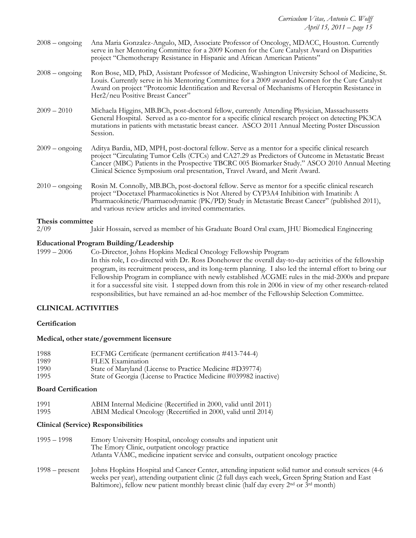| $2008 -$ ongoing               | Ana Maria Gonzalez-Angulo, MD, Associate Professor of Oncology, MDACC, Houston. Currently<br>serve in her Mentoring Committee for a 2009 Komen for the Cure Catalyst Award on Disparities<br>project "Chemotherapy Resistance in Hispanic and African American Patients"                                                                                                               |
|--------------------------------|----------------------------------------------------------------------------------------------------------------------------------------------------------------------------------------------------------------------------------------------------------------------------------------------------------------------------------------------------------------------------------------|
| $2008 -$ ongoing               | Ron Bose, MD, PhD, Assistant Professor of Medicine, Washington University School of Medicine, St.<br>Louis. Currently serve in his Mentoring Committee for a 2009 awarded Komen for the Cure Catalyst<br>Award on project "Proteomic Identification and Reversal of Mechanisms of Herceptin Resistance in<br>Her2/neu Positive Breast Cancer"                                          |
| $2009 - 2010$                  | Michaela Higgins, MB.BCh, post-doctoral fellow, currently Attending Physician, Massachussetts<br>General Hospital. Served as a co-mentor for a specific clinical research project on detecting PK3CA<br>mutations in patients with metastatic breast cancer. ASCO 2011 Annual Meeting Poster Discussion<br>Session.                                                                    |
| $2009 -$ ongoing               | Aditya Bardia, MD, MPH, post-doctoral fellow. Serve as a mentor for a specific clinical research<br>project "Circulating Tumor Cells (CTCs) and CA27.29 as Predictors of Outcome in Metastatic Breast<br>Cancer (MBC) Patients in the Prospective TBCRC 005 Biomarker Study." ASCO 2010 Annual Meeting<br>Clinical Science Symposium oral presentation, Travel Award, and Merit Award. |
| $2010 -$ ongoing               | Rosin M. Connolly, MB.BCh, post-doctoral fellow. Serve as mentor for a specific clinical research<br>project "Docetaxel Pharmacokinetics is Not Altered by CYP3A4 Inhibition with Imatinib: A<br>Pharmacokinetic/Pharmacodynamic (PK/PD) Study in Metastatic Breast Cancer" (published 2011),<br>and various review articles and invited commentaries.                                 |
| Thesis committee<br>$\sim$ 100 | $\mathbf{y}$ and $\mathbf{y}$ are $\mathbf{y}$ and $\mathbf{y}$ are $\mathbf{y}$ as $\mathbf{y}$ and $\mathbf{y}$ are $\mathbf{y}$ and $\mathbf{y}$ are $\mathbf{y}$ and $\mathbf{y}$ are $\mathbf{y}$ and $\mathbf{y}$ are $\mathbf{y}$ and $\mathbf{y}$ are $\mathbf{y}$ and $\mathbf{y}$ are                                                                                        |

2/09 Jakir Hossain, served as member of his Graduate Board Oral exam, JHU Biomedical Engineering

#### **Educational Program Building/Leadership**

1999 – 2006 Co-Director, Johns Hopkins Medical Oncology Fellowship Program In this role, I co-directed with Dr. Ross Donehower the overall day-to-day activities of the fellowship program, its recruitment process, and its long-term planning. I also led the internal effort to bring our Fellowship Program in compliance with newly established ACGME rules in the mid-2000s and prepare it for a successful site visit. I stepped down from this role in 2006 in view of my other research-related responsibilities, but have remained an ad-hoc member of the Fellowship Selection Committee.

#### **CLINICAL ACTIVITIES**

#### **Certification**

#### **Medical, other state/government licensure**

| 1988 | ECFMG Certificate (permanent certification #413-744-4)           |
|------|------------------------------------------------------------------|
| 1989 | FLEX Examination                                                 |
| 1990 | State of Maryland (License to Practice Medicine #D39774)         |
| 1995 | State of Georgia (License to Practice Medicine #039982 inactive) |

### **Board Certification**

| 1991 | ABIM Internal Medicine (Recertified in 2000, valid until 2011) |
|------|----------------------------------------------------------------|
| 1995 | ABIM Medical Oncology (Recertified in 2000, valid until 2014)  |

#### **Clinical (Service) Responsibilities**

| 1995 – 1998      | Emory University Hospital, oncology consults and inpatient unit<br>The Emory Clinic, outpatient oncology practice<br>Atlanta VAMC, medicine inpatient service and consults, outpatient oncology practice                                                                                                                     |
|------------------|------------------------------------------------------------------------------------------------------------------------------------------------------------------------------------------------------------------------------------------------------------------------------------------------------------------------------|
| $1998 - present$ | Johns Hopkins Hospital and Cancer Center, attending inpatient solid tumor and consult services (4-6)<br>weeks per year), attending outpatient clinic (2 full days each week, Green Spring Station and East<br>Baltimore), fellow new patient monthly breast clinic (half day every 2 <sup>nd</sup> or 3 <sup>rd</sup> month) |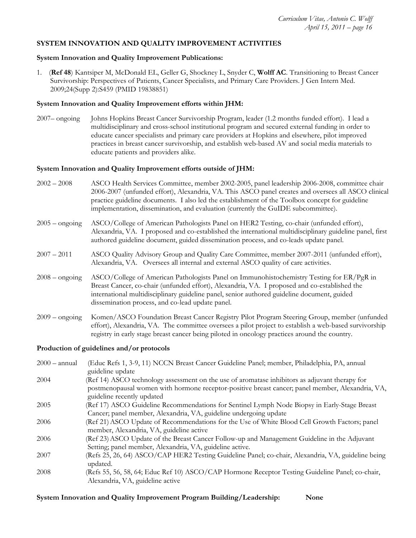## **SYSTEM INNOVATION AND QUALITY IMPROVEMENT ACTIVITIES**

#### **System Innovation and Quality Improvement Publications:**

1. (**Ref 48**) Kantsiper M, McDonald EL, Geller G, Shockney L, Snyder C, **Wolff AC**. Transitioning to Breast Cancer Survivorship: Perspectives of Patients, Cancer Specialists, and Primary Care Providers. J Gen Intern Med. 2009;24(Supp 2):S459 (PMID 19838851)

#### **System Innovation and Quality Improvement efforts within JHM:**

2007– ongoing Johns Hopkins Breast Cancer Survivorship Program, leader (1.2 months funded effort). I lead a multidisciplinary and cross-school institutional program and secured external funding in order to educate cancer specialists and primary care providers at Hopkins and elsewhere, pilot improved practices in breast cancer survivorship, and establish web-based AV and social media materials to educate patients and providers alike.

#### **System Innovation and Quality Improvement efforts outside of JHM:**

- 2002 2008 ASCO Health Services Committee, member 2002-2005, panel leadership 2006-2008, committee chair 2006-2007 (unfunded effort), Alexandria, VA. This ASCO panel creates and oversees all ASCO clinical practice guideline documents. I also led the establishment of the Toolbox concept for guideline implementation, dissemination, and evaluation (currently the GuIDE subcommittee).
- 2005 ongoing ASCO/College of American Pathologists Panel on HER2 Testing, co-chair (unfunded effort), Alexandria, VA. I proposed and co-established the international multidisciplinary guideline panel, first authored guideline document, guided dissemination process, and co-leads update panel.
- 2007 2011 ASCO Quality Advisory Group and Quality Care Committee, member 2007-2011 (unfunded effort), Alexandria, VA. Oversees all internal and external ASCO quality of care activities.
- 2008 ongoing ASCO/College of American Pathologists Panel on Immunohistochemistry Testing for ER/PgR in Breast Cancer, co-chair (unfunded effort), Alexandria, VA. I proposed and co-established the international multidisciplinary guideline panel, senior authored guideline document, guided dissemination process, and co-lead update panel.
- 2009 ongoing Komen/ASCO Foundation Breast Cancer Registry Pilot Program Steering Group, member (unfunded effort), Alexandria, VA. The committee oversees a pilot project to establish a web-based survivorship registry in early stage breast cancer being piloted in oncology practices around the country.

#### **Production of guidelines and/or protocols**

| $2000 - \text{annual}$ | (Educ Refs 1, 3-9, 11) NCCN Breast Cancer Guideline Panel; member, Philadelphia, PA, annual                                                              |
|------------------------|----------------------------------------------------------------------------------------------------------------------------------------------------------|
|                        | guideline update                                                                                                                                         |
| 2004                   | (Ref 14) ASCO technology assessment on the use of aromatase inhibitors as adjuvant therapy for                                                           |
|                        | postmenopausal women with hormone receptor-positive breast cancer; panel member, Alexandria, VA,                                                         |
|                        | guideline recently updated                                                                                                                               |
| 2005                   | (Ref 17) ASCO Guideline Recommendations for Sentinel Lymph Node Biopsy in Early-Stage Breast                                                             |
|                        | Cancer; panel member, Alexandria, VA, guideline undergoing update                                                                                        |
| 2006                   | (Ref 21) ASCO Update of Recommendations for the Use of White Blood Cell Growth Factors; panel<br>member, Alexandria, VA, guideline active                |
| 2006                   |                                                                                                                                                          |
|                        | (Ref 23) ASCO Update of the Breast Cancer Follow-up and Management Guideline in the Adjuvant<br>Setting; panel member, Alexandria, VA, guideline active. |
| 2007                   | (Refs 25, 26, 64) ASCO/CAP HER2 Testing Guideline Panel; co-chair, Alexandria, VA, guideline being<br>updated.                                           |
| 2008                   | (Refs 55, 56, 58, 64; Educ Ref 10) ASCO/CAP Hormone Receptor Testing Guideline Panel; co-chair,<br>Alexandria, VA, guideline active                      |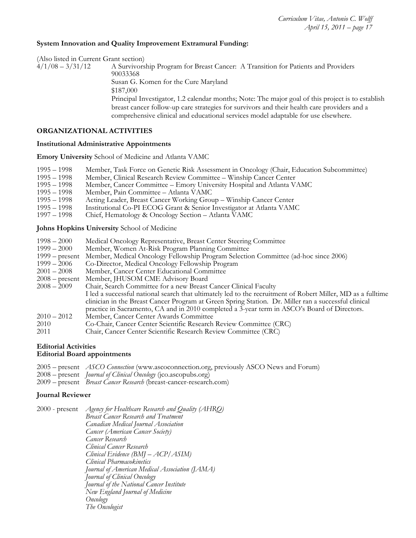#### **System Innovation and Quality Improvement Extramural Funding:**

(Also listed in Current Grant section)<br> $\frac{4}{1/08} - \frac{3}{31/12}$  A Survivors A Survivorship Program for Breast Cancer: A Transition for Patients and Providers 90033368 Susan G. Komen for the Cure Maryland \$187,000 Principal Investigator, 1.2 calendar months; Note: The major goal of this project is to establish breast cancer follow-up care strategies for survivors and their health care providers and a comprehensive clinical and educational services model adaptable for use elsewhere.

### **ORGANIZATIONAL ACTIVITIES**

#### **Institutional Administrative Appointments**

**Emory University** School of Medicine and Atlanta VAMC

|  | 1995 - 1998 Member, Task Force on Genetic Risk Assessment in Oncology (Chair, Education Subcommittee) |  |
|--|-------------------------------------------------------------------------------------------------------|--|
|  |                                                                                                       |  |

- 1995 1998 Member, Clinical Research Review Committee Winship Cancer Center
- Member, Cancer Committee Emory University Hospital and Atlanta VAMC
- 1995 1998 Member, Pain Committee Atlanta VAMC<br>1995 1998 Acting Leader, Breast Cancer Working Grou
- 
- 1995 1998 Acting Leader, Breast Cancer Working Group Winship Cancer Center Institutional Co-PI ECOG Grant & Senior Investigator at Atlanta VAMC
- 1997 1998 Chief, Hematology & Oncology Section Atlanta VAMC

**Johns Hopkins University** School of Medicine

- 1998 2000 Medical Oncology Representative, Breast Center Steering Committee
- Member, Women At-Risk Program Planning Committee
- 1999 present Member, Medical Oncology Fellowship Program Selection Committee (ad-hoc since 2006)
- 1999 2006 Co-Director, Medical Oncology Fellowship Program
- 2001 2008 Member, Cancer Center Educational Committee
- 
- 2008 present Member, JHUSOM CME Advisory Board Chair, Search Committee for a new Breast Cancer Clinical Faculty I led a successful national search that ultimately led to the recruitment of Robert Miller, MD as a fulltime clinician in the Breast Cancer Program at Green Spring Station. Dr. Miller ran a successful clinical practice in Sacramento, CA and in 2010 completed a 3-year term in ASCO's Board of Directors. 2010 – 2012 Member, Cancer Center Awards Committee
- 2010 Co-Chair, Cancer Center Scientific Research Review Committee (CRC)
- 2011 Chair, Cancer Center Scientific Research Review Committee (CRC)

#### **Editorial Activities Editorial Board appointments**

- 2005 present *ASCO Connection* (www.ascoconnection.org, previously ASCO News and Forum)
- 2008 present *Journal of Clinical Oncology* (jco.ascopubs.org)
- 2009 present *Breast Cancer Research* (breast-cancer-research.com)

#### **Journal Reviewer**

| 2000 - present | Agency for Healthcare Research and Quality (AHRQ) |
|----------------|---------------------------------------------------|
|                | <b>Breast Cancer Research and Treatment</b>       |
|                | Canadian Medical Journal Association              |
|                | Cancer (American Cancer Society)                  |
|                | Cancer Research                                   |
|                | Clinical Cancer Research                          |
|                | Clinical Evidence (BMJ – ACP/ASIM)                |
|                | Clinical Pharmacokinetics                         |
|                | Journal of American Medical Association (JAMA)    |
|                | Journal of Clinical Oncology                      |
|                | Journal of the National Cancer Institute          |
|                | New England Journal of Medicine                   |
|                | Oncology                                          |
|                | The Oncologist                                    |
|                |                                                   |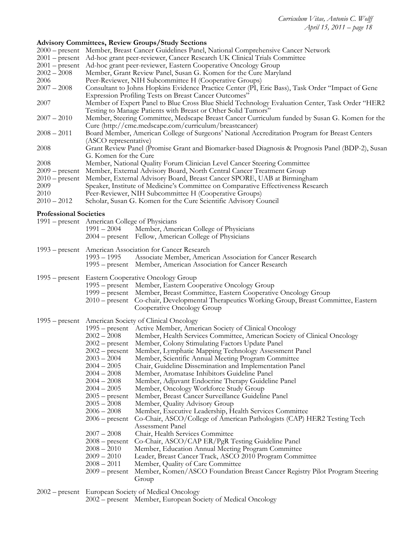# **Advisory Committees, Review Groups/Study Sections**

|                               | Advisory Commutees, Review Groups/Study Sections                                                                                                                 |  |  |
|-------------------------------|------------------------------------------------------------------------------------------------------------------------------------------------------------------|--|--|
|                               | 2000 – present Member, Breast Cancer Guidelines Panel, National Comprehensive Cancer Network                                                                     |  |  |
|                               | 2001 – present Ad-hoc grant peer-reviewer, Cancer Research UK Clinical Trials Committee                                                                          |  |  |
| $2001$ – present              | Ad-hoc grant peer-reviewer, Eastern Cooperative Oncology Group                                                                                                   |  |  |
| $2002 - 2008$                 | Member, Grant Review Panel, Susan G. Komen for the Cure Maryland                                                                                                 |  |  |
| 2006                          | Peer-Reviewer, NIH Subcommittee H (Cooperative Groups)                                                                                                           |  |  |
| $2007 - 2008$                 | Consultant to Johns Hopkins Evidence Practice Center (PI, Eric Bass), Task Order "Impact of Gene<br><b>Expression Profiling Tests on Breast Cancer Outcomes"</b> |  |  |
| 2007                          | Member of Expert Panel to Blue Cross Blue Shield Technology Evaluation Center, Task Order "HER2<br>Testing to Manage Patients with Breast or Other Solid Tumors" |  |  |
| $2007 - 2010$                 | Member, Steering Committee, Medscape Breast Cancer Curriculum funded by Susan G. Komen for the                                                                   |  |  |
| $2008 - 2011$                 | Cure (http://cme.medscape.com/curriculum/breastcancer)<br>Board Member, American College of Surgeons' National Accreditation Program for Breast Centers          |  |  |
| 2008                          | (ASCO representative)<br>Grant Review Panel (Promise Grant and Biomarker-based Diagnosis & Prognosis Panel (BDP-2), Susan                                        |  |  |
|                               | G. Komen for the Cure                                                                                                                                            |  |  |
| 2008                          | Member, National Quality Forum Clinician Level Cancer Steering Committee                                                                                         |  |  |
| $2009$ – present              | Member, External Advisory Board, North Central Cancer Treatment Group                                                                                            |  |  |
| $2010$ – present              | Member, External Advisory Board, Breast Cancer SPORE, UAB at Birmingham                                                                                          |  |  |
| 2009                          | Speaker, Institute of Medicine's Committee on Comparative Effectiveness Research                                                                                 |  |  |
| 2010                          | Peer-Reviewer, NIH Subcommittee H (Cooperative Groups)                                                                                                           |  |  |
| $2010 - 2012$                 | Scholar, Susan G. Komen for the Cure Scientific Advisory Council                                                                                                 |  |  |
| <b>Professional Societies</b> |                                                                                                                                                                  |  |  |
|                               | 1991 – present American College of Physicians                                                                                                                    |  |  |
|                               | Member, American College of Physicians<br>$1991 - 2004$                                                                                                          |  |  |
|                               | 2004 – present Fellow, American College of Physicians                                                                                                            |  |  |
|                               |                                                                                                                                                                  |  |  |
|                               | 1993 – present American Association for Cancer Research                                                                                                          |  |  |
|                               | $1993 - 1995$<br>Associate Member, American Association for Cancer Research                                                                                      |  |  |
|                               | 1995 – present Member, American Association for Cancer Research                                                                                                  |  |  |
|                               |                                                                                                                                                                  |  |  |
|                               | 1995 – present Eastern Cooperative Oncology Group                                                                                                                |  |  |
|                               | 1995 – present Member, Eastern Cooperative Oncology Group                                                                                                        |  |  |
|                               | 1999 – present Member, Breast Committee, Eastern Cooperative Oncology Group                                                                                      |  |  |
|                               | 2010 – present Co-chair, Developmental Therapeutics Working Group, Breast Committee, Eastern                                                                     |  |  |
|                               | Cooperative Oncology Group                                                                                                                                       |  |  |
|                               |                                                                                                                                                                  |  |  |
|                               | 1995 – present American Society of Clinical Oncology                                                                                                             |  |  |
|                               | 1995 – present Active Member, American Society of Clinical Oncology                                                                                              |  |  |
|                               | $2002 - 2008$<br>Member, Health Services Committee, American Society of Clinical Oncology                                                                        |  |  |
|                               | 2002 – present Member, Colony Stimulating Factors Update Panel                                                                                                   |  |  |
|                               | $2002$ – present<br>Member, Lymphatic Mapping Technology Assessment Panel                                                                                        |  |  |
|                               | Member, Scientific Annual Meeting Program Committee<br>$2003 - 2004$                                                                                             |  |  |
|                               | $2004 - 2005$<br>Chair, Guideline Dissemination and Implementation Panel                                                                                         |  |  |
|                               | $2004 - 2008$<br>Member, Aromatase Inhibitors Guideline Panel                                                                                                    |  |  |
|                               |                                                                                                                                                                  |  |  |
|                               | $2004 - 2008$<br>Member, Adjuvant Endocrine Therapy Guideline Panel                                                                                              |  |  |
|                               | $2004 - 2005$<br>Member, Oncology Workforce Study Group                                                                                                          |  |  |
|                               | $2005$ – present<br>Member, Breast Cancer Surveillance Guideline Panel                                                                                           |  |  |
|                               | Member, Quality Advisory Group<br>$2005 - 2008$                                                                                                                  |  |  |
|                               | $2006 - 2008$<br>Member, Executive Leadership, Health Services Committee                                                                                         |  |  |
|                               | Co-Chair, ASCO/College of American Pathologists (CAP) HER2 Testing Tech<br>$2006$ – present                                                                      |  |  |
|                               | Assessment Panel                                                                                                                                                 |  |  |
|                               | $2007 - 2008$<br>Chair, Health Services Committee                                                                                                                |  |  |
|                               | Co-Chair, ASCO/CAP ER/PgR Testing Guideline Panel<br>$2008 - present$                                                                                            |  |  |
|                               | Member, Education Annual Meeting Program Committee<br>$2008 - 2010$                                                                                              |  |  |
|                               | $2009 - 2010$<br>Leader, Breast Cancer Track, ASCO 2010 Program Committee                                                                                        |  |  |
|                               | $2008 - 2011$<br>Member, Quality of Care Committee                                                                                                               |  |  |
|                               | Member, Komen/ASCO Foundation Breast Cancer Registry Pilot Program Steering<br>$2009$ – present                                                                  |  |  |
|                               | Group                                                                                                                                                            |  |  |
|                               |                                                                                                                                                                  |  |  |

| 2002 – present European Society of Medical Oncology         |
|-------------------------------------------------------------|
| 2002 – present Member, European Society of Medical Oncology |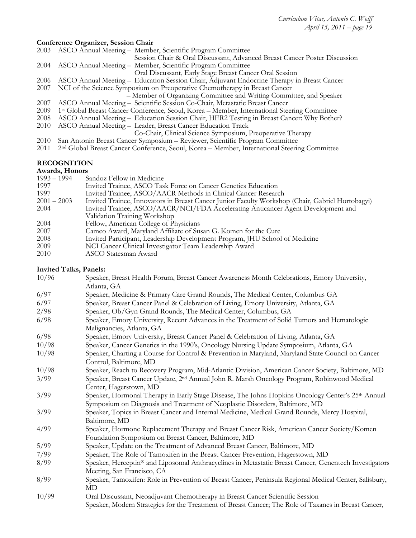# **Conference Organizer, Session Chair**

|      | Conneigned Organizer, Session Chan                                                                       |
|------|----------------------------------------------------------------------------------------------------------|
| 2003 | ASCO Annual Meeting - Member, Scientific Program Committee                                               |
|      | Session Chair & Oral Discussant, Advanced Breast Cancer Poster Discussion                                |
| 2004 | ASCO Annual Meeting - Member, Scientific Program Committee                                               |
|      | Oral Discussant, Early Stage Breast Cancer Oral Session                                                  |
| 2006 | ASCO Annual Meeting – Education Session Chair, Adjuvant Endocrine Therapy in Breast Cancer               |
| 2007 | NCI of the Science Symposium on Preoperative Chemotherapy in Breast Cancer                               |
|      | - Member of Organizing Committee and Writing Committee, and Speaker                                      |
| 2007 | ASCO Annual Meeting – Scientific Session Co-Chair, Metastatic Breast Cancer                              |
| 2009 | 1 <sup>st</sup> Global Breast Cancer Conference, Seoul, Korea – Member, International Steering Committee |
| 2008 | ASCO Annual Meeting – Education Session Chair, HER2 Testing in Breast Cancer: Why Bother?                |
| 2010 | ASCO Annual Meeting - Leader, Breast Cancer Education Track                                              |
|      | Co-Chair, Clinical Science Symposium, Preoperative Therapy                                               |
| 2010 | San Antonio Breast Cancer Symposium – Reviewer, Scientific Program Committee                             |
| 2011 | 2 <sup>nd</sup> Global Breast Cancer Conference, Seoul, Korea – Member, International Steering Committee |
|      |                                                                                                          |

# **RECOGNITION**

| Awards, Honors |                                                                                                  |  |
|----------------|--------------------------------------------------------------------------------------------------|--|
| $1993 - 1994$  | Sandoz Fellow in Medicine                                                                        |  |
| 1997           | Invited Trainee, ASCO Task Force on Cancer Genetics Education                                    |  |
| 1997           | Invited Trainee, ASCO/AACR Methods in Clinical Cancer Research                                   |  |
| $2001 - 2003$  | Invited Trainee, Innovators in Breast Cancer Junior Faculty Workshop (Chair, Gabriel Hortobagyi) |  |
| 2004           | Invited Trainee, ASCO/AACR/NCI/FDA Accelerating Anticancer Agent Development and                 |  |
|                | Validation Training Workshop                                                                     |  |
| 2004           | Fellow, American College of Physicians                                                           |  |
| 2007           | Cameo Award, Maryland Affiliate of Susan G. Komen for the Cure                                   |  |
| 2008           | Invited Participant, Leadership Development Program, JHU School of Medicine                      |  |
| 2009           | NCI Cancer Clinical Investigator Team Leadership Award                                           |  |
| 2010           | ASCO Statesman Award                                                                             |  |

# **Invited Talks, Panels:**

| 10/96 | Speaker, Breast Health Forum, Breast Cancer Awareness Month Celebrations, Emory University,<br>Atlanta, GA                                                                            |
|-------|---------------------------------------------------------------------------------------------------------------------------------------------------------------------------------------|
| 6/97  | Speaker, Medicine & Primary Care Grand Rounds, The Medical Center, Columbus GA                                                                                                        |
| 6/97  | Speaker, Breast Cancer Panel & Celebration of Living, Emory University, Atlanta, GA                                                                                                   |
| 2/98  | Speaker, Ob/Gyn Grand Rounds, The Medical Center, Columbus, GA                                                                                                                        |
| 6/98  | Speaker, Emory University, Recent Advances in the Treatment of Solid Tumors and Hematologic<br>Malignancies, Atlanta, GA                                                              |
| 6/98  | Speaker, Emory University, Breast Cancer Panel & Celebration of Living, Atlanta, GA                                                                                                   |
| 10/98 | Speaker, Cancer Genetics in the 1990's, Oncology Nursing Update Symposium, Atlanta, GA                                                                                                |
| 10/98 | Speaker, Charting a Course for Control & Prevention in Maryland, Maryland State Council on Cancer<br>Control, Baltimore, MD                                                           |
| 10/98 | Speaker, Reach to Recovery Program, Mid-Atlantic Division, American Cancer Society, Baltimore, MD                                                                                     |
| 3/99  | Speaker, Breast Cancer Update, 2 <sup>nd</sup> Annual John R. Marsh Oncology Program, Robinwood Medical<br>Center, Hagerstown, MD                                                     |
| 3/99  | Speaker, Hormonal Therapy in Early Stage Disease, The Johns Hopkins Oncology Center's 25th Annual<br>Symposium on Diagnosis and Treatment of Neoplastic Disorders, Baltimore, MD      |
| 3/99  | Speaker, Topics in Breast Cancer and Internal Medicine, Medical Grand Rounds, Mercy Hospital,<br>Baltimore, MD                                                                        |
| 4/99  | Speaker, Hormone Replacement Therapy and Breast Cancer Risk, American Cancer Society/Komen<br>Foundation Symposium on Breast Cancer, Baltimore, MD                                    |
| 5/99  | Speaker, Update on the Treatment of Advanced Breast Cancer, Baltimore, MD                                                                                                             |
| 7/99  | Speaker, The Role of Tamoxifen in the Breast Cancer Prevention, Hagerstown, MD                                                                                                        |
| 8/99  | Speaker, Herceptin® and Liposomal Anthracyclines in Metastatic Breast Cancer, Genentech Investigators<br>Meeting, San Francisco, CA                                                   |
| 8/99  | Speaker, Tamoxifen: Role in Prevention of Breast Cancer, Peninsula Regional Medical Center, Salisbury,<br>MD                                                                          |
| 10/99 | Oral Discussant, Neoadjuvant Chemotherapy in Breast Cancer Scientific Session<br>Speaker, Modern Strategies for the Treatment of Breast Cancer; The Role of Taxanes in Breast Cancer, |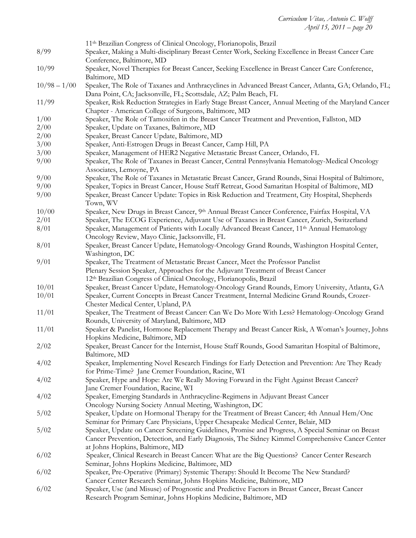|                | 11 <sup>th</sup> Brazilian Congress of Clinical Oncology, Florianopolis, Brazil                                                     |
|----------------|-------------------------------------------------------------------------------------------------------------------------------------|
| 8/99           | Speaker, Making a Multi-disciplinary Breast Center Work, Seeking Excellence in Breast Cancer Care                                   |
|                | Conference, Baltimore, MD                                                                                                           |
| 10/99          | Speaker, Novel Therapies for Breast Cancer, Seeking Excellence in Breast Cancer Care Conference,                                    |
|                | Baltimore, MD                                                                                                                       |
| $10/98 - 1/00$ | Speaker, The Role of Taxanes and Anthracyclines in Advanced Breast Cancer, Atlanta, GA; Orlando, FL;                                |
|                | Dana Point, CA; Jacksonville, FL; Scottsdale, AZ; Palm Beach, FL                                                                    |
| 11/99          | Speaker, Risk Reduction Strategies in Early Stage Breast Cancer, Annual Meeting of the Maryland Cancer                              |
|                | Chapter - American College of Surgeons, Baltimore, MD                                                                               |
| 1/00<br>2/00   | Speaker, The Role of Tamoxifen in the Breast Cancer Treatment and Prevention, Fallston, MD                                          |
| 2/00           | Speaker, Update on Taxanes, Baltimore, MD<br>Speaker, Breast Cancer Update, Baltimore, MD                                           |
| 3/00           | Speaker, Anti-Estrogen Drugs in Breast Cancer, Camp Hill, PA                                                                        |
| 3/00           | Speaker, Management of HER2 Negative Metastatic Breast Cancer, Orlando, FL                                                          |
| 9/00           | Speaker, The Role of Taxanes in Breast Cancer, Central Pennsylvania Hematology-Medical Oncology                                     |
|                | Associates, Lemoyne, PA                                                                                                             |
| 9/00           | Speaker, The Role of Taxanes in Metastatic Breast Cancer, Grand Rounds, Sinai Hospital of Baltimore,                                |
| 9/00           | Speaker, Topics in Breast Cancer, House Staff Retreat, Good Samaritan Hospital of Baltimore, MD                                     |
| 9/00           | Speaker, Breast Cancer Update: Topics in Risk Reduction and Treatment, City Hospital, Shepherds                                     |
|                | Town, WV                                                                                                                            |
| 10/00          | Speaker, New Drugs in Breast Cancer, 9th Annual Breast Cancer Conference, Fairfax Hospital, VA                                      |
| 2/01           | Speaker, The ECOG Experience, Adjuvant Use of Taxanes in Breast Cancer, Zurich, Switzerland                                         |
| 8/01           | Speaker, Management of Patients with Locally Advanced Breast Cancer, 11 <sup>th</sup> Annual Hematology                             |
|                | Oncology Review, Mayo Clinic, Jacksonville, FL                                                                                      |
| 8/01           | Speaker, Breast Cancer Update, Hematology-Oncology Grand Rounds, Washington Hospital Center,                                        |
|                | Washington, DC                                                                                                                      |
| 9/01           | Speaker, The Treatment of Metastatic Breast Cancer, Meet the Professor Panelist                                                     |
|                | Plenary Session Speaker, Approaches for the Adjuvant Treatment of Breast Cancer                                                     |
|                | 12th Brazilian Congress of Clinical Oncology, Florianopolis, Brazil                                                                 |
| 10/01          | Speaker, Breast Cancer Update, Hematology-Oncology Grand Rounds, Emory University, Atlanta, GA                                      |
| 10/01          | Speaker, Current Concepts in Breast Cancer Treatment, Internal Medicine Grand Rounds, Crozer-<br>Chester Medical Center, Upland, PA |
| 11/01          | Speaker, The Treatment of Breast Cancer: Can We Do More With Less? Hematology-Oncology Grand                                        |
|                | Rounds, University of Maryland, Baltimore, MD                                                                                       |
| 11/01          | Speaker & Panelist, Hormone Replacement Therapy and Breast Cancer Risk, A Woman's Journey, Johns                                    |
|                | Hopkins Medicine, Baltimore, MD                                                                                                     |
| 2/02           | Speaker, Breast Cancer for the Internist, House Staff Rounds, Good Samaritan Hospital of Baltimore,                                 |
|                | Baltimore, MD                                                                                                                       |
| 4/02           | Speaker, Implementing Novel Research Findings for Early Detection and Prevention: Are They Ready                                    |
|                | for Prime-Time? Jane Cremer Foundation, Racine, WI                                                                                  |
| 4/02           | Speaker, Hype and Hope: Are We Really Moving Forward in the Fight Against Breast Cancer?                                            |
|                | Jane Cremer Foundation, Racine, WI                                                                                                  |
| 4/02           | Speaker, Emerging Standards in Anthracycline-Regimens in Adjuvant Breast Cancer                                                     |
|                | Oncology Nursing Society Annual Meeting, Washington, DC                                                                             |
| 5/02           | Speaker, Update on Hormonal Therapy for the Treatment of Breast Cancer; 4th Annual Hem/Onc                                          |
|                | Seminar for Primary Care Physicians, Upper Chesapeake Medical Center, Belair, MD                                                    |
| 5/02           | Speaker, Update on Cancer Screening Guidelines, Promise and Progress, A Special Seminar on Breast                                   |
|                | Cancer Prevention, Detection, and Early Diagnosis, The Sidney Kimmel Comprehensive Cancer Center                                    |
|                | at Johns Hopkins, Baltimore, MD<br>Speaker, Clinical Research in Breast Cancer: What are the Big Questions? Cancer Center Research  |
| 6/02           | Seminar, Johns Hopkins Medicine, Baltimore, MD                                                                                      |
| 6/02           | Speaker, Pre-Operative (Primary) Systemic Therapy: Should It Become The New Standard?                                               |
|                | Cancer Center Research Seminar, Johns Hopkins Medicine, Baltimore, MD                                                               |
| 6/02           | Speaker, Use (and Misuse) of Prognostic and Predictive Factors in Breast Cancer, Breast Cancer                                      |
|                | Research Program Seminar, Johns Hopkins Medicine, Baltimore, MD                                                                     |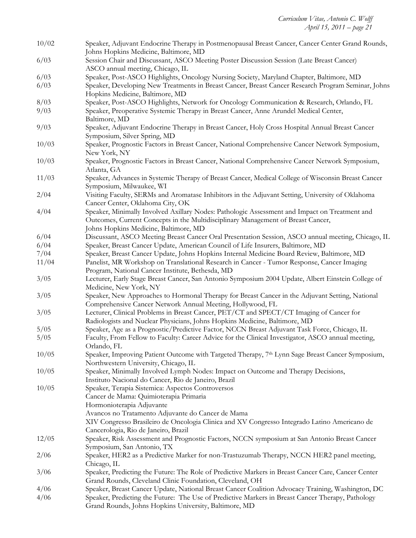| 10/02 | Speaker, Adjuvant Endocrine Therapy in Postmenopausal Breast Cancer, Cancer Center Grand Rounds,<br>Johns Hopkins Medicine, Baltimore, MD                                                                                  |
|-------|----------------------------------------------------------------------------------------------------------------------------------------------------------------------------------------------------------------------------|
| 6/03  | Session Chair and Discussant, ASCO Meeting Poster Discussion Session (Late Breast Cancer)<br>ASCO annual meeting, Chicago, IL                                                                                              |
| 6/03  | Speaker, Post-ASCO Highlights, Oncology Nursing Society, Maryland Chapter, Baltimore, MD                                                                                                                                   |
| 6/03  | Speaker, Developing New Treatments in Breast Cancer, Breast Cancer Research Program Seminar, Johns<br>Hopkins Medicine, Baltimore, MD                                                                                      |
| 8/03  | Speaker, Post-ASCO Highlights, Network for Oncology Communication & Research, Orlando, FL                                                                                                                                  |
| 9/03  | Speaker, Preoperative Systemic Therapy in Breast Cancer, Anne Arundel Medical Center,<br>Baltimore, MD                                                                                                                     |
| 9/03  | Speaker, Adjuvant Endocrine Therapy in Breast Cancer, Holy Cross Hospital Annual Breast Cancer<br>Symposium, Silver Spring, MD                                                                                             |
| 10/03 | Speaker, Prognostic Factors in Breast Cancer, National Comprehensive Cancer Network Symposium,<br>New York, NY                                                                                                             |
| 10/03 | Speaker, Prognostic Factors in Breast Cancer, National Comprehensive Cancer Network Symposium,<br>Atlanta, GA                                                                                                              |
| 11/03 | Speaker, Advances in Systemic Therapy of Breast Cancer, Medical College of Wisconsin Breast Cancer<br>Symposium, Milwaukee, WI                                                                                             |
| 2/04  | Visiting Faculty, SERMs and Aromatase Inhibitors in the Adjuvant Setting, University of Oklahoma<br>Cancer Center, Oklahoma City, OK                                                                                       |
| 4/04  | Speaker, Minimally Involved Axillary Nodes: Pathologic Assessment and Impact on Treatment and<br>Outcomes, Current Concepts in the Multidisciplinary Management of Breast Cancer,<br>Johns Hopkins Medicine, Baltimore, MD |
| 6/04  | Discussant, ASCO Meeting Breast Cancer Oral Presentation Session, ASCO annual meeting, Chicago, IL                                                                                                                         |
| 6/04  | Speaker, Breast Cancer Update, American Council of Life Insurers, Baltimore, MD                                                                                                                                            |
| 7/04  | Speaker, Breast Cancer Update, Johns Hopkins Internal Medicine Board Review, Baltimore, MD                                                                                                                                 |
| 11/04 | Panelist, MR Workshop on Translational Research in Cancer - Tumor Response, Cancer Imaging<br>Program, National Cancer Institute, Bethesda, MD                                                                             |
| 3/05  | Lecturer, Early Stage Breast Cancer, San Antonio Symposium 2004 Update, Albert Einstein College of<br>Medicine, New York, NY                                                                                               |
| 3/05  | Speaker, New Approaches to Hormonal Therapy for Breast Cancer in the Adjuvant Setting, National<br>Comprehensive Cancer Network Annual Meeting, Hollywood, FL                                                              |
| 3/05  | Lecturer, Clinical Problems in Breast Cancer, PET/CT and SPECT/CT Imaging of Cancer for<br>Radiologists and Nuclear Physicians, Johns Hopkins Medicine, Baltimore, MD                                                      |
| 5/05  | Speaker, Age as a Prognostic/Predictive Factor, NCCN Breast Adjuvant Task Force, Chicago, IL                                                                                                                               |
| 5/05  | Faculty, From Fellow to Faculty: Career Advice for the Clinical Investigator, ASCO annual meeting,<br>Orlando, FL                                                                                                          |
| 10/05 | Speaker, Improving Patient Outcome with Targeted Therapy, 7th Lynn Sage Breast Cancer Symposium,<br>Northwestern University, Chicago, IL                                                                                   |
| 10/05 | Speaker, Minimally Involved Lymph Nodes: Impact on Outcome and Therapy Decisions,<br>Instituto Nacional do Cancer, Rio de Janeiro, Brazil                                                                                  |
| 10/05 | Speaker, Terapia Sistemica: Aspectos Controversos                                                                                                                                                                          |
|       | Cancer de Mama: Quimioterapia Primaria                                                                                                                                                                                     |
|       | Hormonioterapia Adjuvante                                                                                                                                                                                                  |
|       | Avancos no Tratamento Adjuvante do Cancer de Mama<br>XIV Congresso Brasileiro de Oncologia Clinica and XV Congresso Integrado Latino Americano de                                                                          |
|       | Cancerologia, Rio de Janeiro, Brazil                                                                                                                                                                                       |
| 12/05 | Speaker, Risk Assessment and Prognostic Factors, NCCN symposium at San Antonio Breast Cancer<br>Symposium, San Antonio, TX                                                                                                 |
| 2/06  | Speaker, HER2 as a Predictive Marker for non-Trastuzumab Therapy, NCCN HER2 panel meeting,<br>Chicago, IL                                                                                                                  |
| 3/06  | Speaker, Predicting the Future: The Role of Predictive Markers in Breast Cancer Care, Cancer Center<br>Grand Rounds, Cleveland Clinic Foundation, Cleveland, OH                                                            |
| 4/06  | Speaker, Breast Cancer Update, National Breast Cancer Coalition Advocacy Training, Washington, DC                                                                                                                          |
| 4/06  | Speaker, Predicting the Future: The Use of Predictive Markers in Breast Cancer Therapy, Pathology<br>Grand Rounds, Johns Hopkins University, Baltimore, MD                                                                 |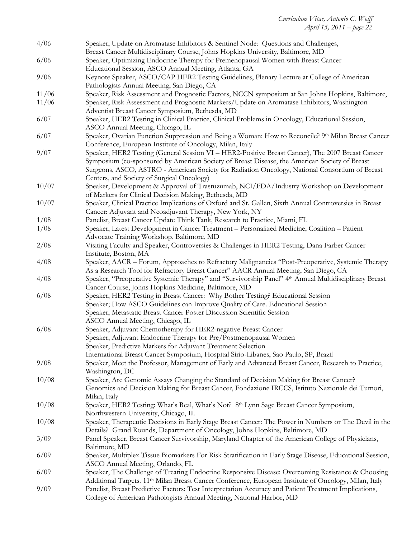| 4/06  | Speaker, Update on Aromatase Inhibitors & Sentinel Node: Questions and Challenges,                                                                |
|-------|---------------------------------------------------------------------------------------------------------------------------------------------------|
|       | Breast Cancer Multidisciplinary Course, Johns Hopkins University, Baltimore, MD                                                                   |
| 6/06  | Speaker, Optimizing Endocrine Therapy for Premenopausal Women with Breast Cancer<br>Educational Session, ASCO Annual Meeting, Atlanta, GA         |
| 9/06  | Keynote Speaker, ASCO/CAP HER2 Testing Guidelines, Plenary Lecture at College of American                                                         |
|       | Pathologists Annual Meeting, San Diego, CA                                                                                                        |
| 11/06 | Speaker, Risk Assessment and Prognostic Factors, NCCN symposium at San Johns Hopkins, Baltimore,                                                  |
| 11/06 | Speaker, Risk Assessment and Prognostic Markers/Update on Aromatase Inhibitors, Washington                                                        |
|       | Adventist Breast Cancer Symposium, Bethesda, MD                                                                                                   |
| 6/07  | Speaker, HER2 Testing in Clinical Practice, Clinical Problems in Oncology, Educational Session,<br>ASCO Annual Meeting, Chicago, IL               |
| 6/07  | Speaker, Ovarian Function Suppression and Being a Woman: How to Reconcile? 9th Milan Breast Cancer                                                |
|       | Conference, European Institute of Oncology, Milan, Italy                                                                                          |
| 9/07  | Speaker, HER2 Testing (General Session VI - HER2-Positive Breast Cancer), The 2007 Breast Cancer                                                  |
|       | Symposium (co-sponsored by American Society of Breast Disease, the American Society of Breast                                                     |
|       | Surgeons, ASCO, ASTRO - American Society for Radiation Oncology, National Consortium of Breast                                                    |
| 10/07 | Centers, and Society of Surgical Oncology)                                                                                                        |
|       | Speaker, Development & Approval of Trastuzumab, NCI/FDA/Industry Workshop on Development<br>of Markers for Clinical Decision Making, Bethesda, MD |
| 10/07 | Speaker, Clinical Practice Implications of Oxford and St. Gallen, Sixth Annual Controversies in Breast                                            |
|       | Cancer: Adjuvant and Neoadjuvant Therapy, New York, NY                                                                                            |
| 1/08  | Panelist, Breast Cancer Update Think Tank, Research to Practice, Miami, FL                                                                        |
| 1/08  | Speaker, Latest Development in Cancer Treatment - Personalized Medicine, Coalition - Patient                                                      |
|       | Advocate Training Workshop, Baltimore, MD                                                                                                         |
| 2/08  | Visiting Faculty and Speaker, Controversies & Challenges in HER2 Testing, Dana Farber Cancer<br>Institute, Boston, MA                             |
| 4/08  | Speaker, AACR - Forum, Approaches to Refractory Malignancies "Post-Preoperative, Systemic Therapy                                                 |
|       | As a Research Tool for Refractory Breast Cancer" AACR Annual Meeting, San Diego, CA                                                               |
| 4/08  | Speaker, "Preoperative Systemic Therapy" and "Survivorship Panel" 4th Annual Multidisciplinary Breast                                             |
|       | Cancer Course, Johns Hopkins Medicine, Baltimore, MD                                                                                              |
| 6/08  | Speaker, HER2 Testing in Breast Cancer: Why Bother Testing? Educational Session                                                                   |
|       | Speaker; How ASCO Guidelines can Improve Quality of Care. Educational Session                                                                     |
|       | Speaker, Metastatic Breast Cancer Poster Discussion Scientific Session                                                                            |
|       | ASCO Annual Meeting, Chicago, IL                                                                                                                  |
| 6/08  | Speaker, Adjuvant Chemotherapy for HER2-negative Breast Cancer                                                                                    |
|       | Speaker, Adjuvant Endocrine Therapy for Pre/Postmenopausal Women                                                                                  |
|       | Speaker, Predictive Markers for Adjuvant Treatment Selection                                                                                      |
|       | International Breast Cancer Symposium, Hospital Sirio-Libanes, Sao Paulo, SP, Brazil                                                              |
| 9/08  | Speaker, Meet the Professor, Management of Early and Advanced Breast Cancer, Research to Practice,<br>Washington, DC                              |
| 10/08 | Speaker, Are Genomic Assays Changing the Standard of Decision Making for Breast Cancer?                                                           |
|       | Genomics and Decision Making for Breast Cancer, Fondazione IRCCS, Istituto Nazionale dei Tumori,                                                  |
|       | Milan, Italy                                                                                                                                      |
| 10/08 | Speaker, HER2 Testing: What's Real, What's Not? 8 <sup>th</sup> Lynn Sage Breast Cancer Symposium,                                                |
|       | Northwestern University, Chicago, IL                                                                                                              |
| 10/08 | Speaker, Therapeutic Decisions in Early Stage Breast Cancer: The Power in Numbers or The Devil in the                                             |
|       | Details? Grand Rounds, Department of Oncology, Johns Hopkins, Baltimore, MD                                                                       |
| 3/09  | Panel Speaker, Breast Cancer Survivorship, Maryland Chapter of the American College of Physicians,                                                |
|       | Baltimore, MD                                                                                                                                     |
| 6/09  | Speaker, Multiplex Tissue Biomarkers For Risk Stratification in Early Stage Disease, Educational Session,                                         |
|       | ASCO Annual Meeting, Orlando, FL                                                                                                                  |
| 6/09  | Speaker, The Challenge of Treating Endocrine Responsive Disease: Overcoming Resistance & Choosing                                                 |
|       | Additional Targets. 11 <sup>th</sup> Milan Breast Cancer Conference, European Institute of Oncology, Milan, Italy                                 |
| 9/09  | Panelist, Breast Predictive Factors: Test Interpretation Accuracy and Patient Treatment Implications,                                             |
|       | College of American Pathologists Annual Meeting, National Harbor, MD                                                                              |